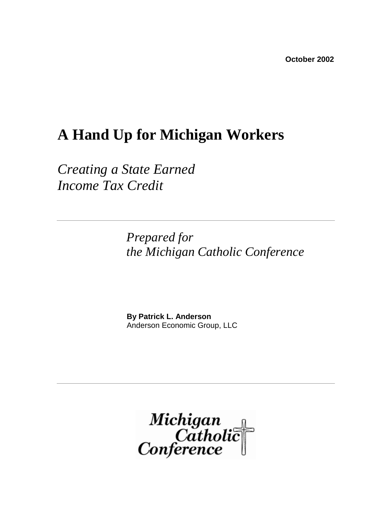## **A Hand Up for Michigan Workers**

*Creating a State Earned Income Tax Credit* 

> *Prepared for the Michigan Catholic Conference*

 **By Patrick L. Anderson** Anderson Economic Group, LLC

Michigan<br>|Catholic<br>|Conference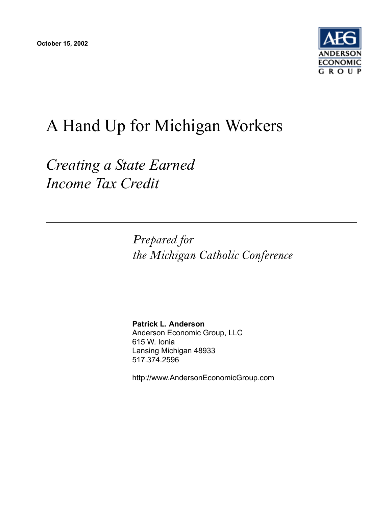

## A Hand Up for Michigan Workers

*Creating a State Earned Income Tax Credit*

> *Prepared for the Michigan Catholic Conference*

**Patrick L. Anderson** Anderson Economic Group, LLC 615 W. Ionia Lansing Michigan 48933 517.374.2596

http://www.AndersonEconomicGroup.com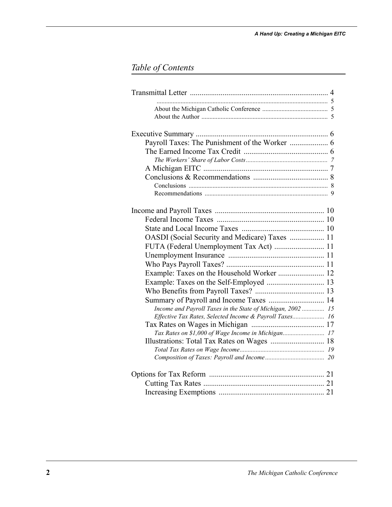## *Table of Contents*

| Payroll Taxes: The Punishment of the Worker  6              |
|-------------------------------------------------------------|
|                                                             |
|                                                             |
|                                                             |
|                                                             |
|                                                             |
|                                                             |
|                                                             |
|                                                             |
|                                                             |
|                                                             |
| OASDI (Social Security and Medicare) Taxes  11              |
| FUTA (Federal Unemployment Tax Act)  11                     |
|                                                             |
|                                                             |
|                                                             |
| Example: Taxes on the Self-Employed  13                     |
|                                                             |
| Summary of Payroll and Income Taxes  14                     |
| Income and Payroll Taxes in the State of Michigan, 2002  15 |
| Effective Tax Rates, Selected Income & Payroll Taxes 16     |
|                                                             |
| Tax Rates on \$1,000 of Wage Income in Michigan 17          |
|                                                             |
|                                                             |
|                                                             |
|                                                             |
|                                                             |
|                                                             |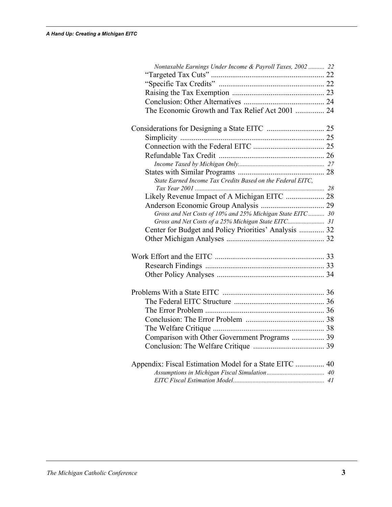| Nontaxable Earnings Under Income & Payroll Taxes, 2002  22 |  |
|------------------------------------------------------------|--|
|                                                            |  |
|                                                            |  |
|                                                            |  |
|                                                            |  |
| The Economic Growth and Tax Relief Act 2001  24            |  |
|                                                            |  |
|                                                            |  |
|                                                            |  |
|                                                            |  |
|                                                            |  |
|                                                            |  |
| State Earned Income Tax Credits Based on the Federal EITC, |  |
|                                                            |  |
|                                                            |  |
| Gross and Net Costs of 10% and 25% Michigan State EITC 30  |  |
| Gross and Net Costs of a 25% Michigan State EITC 31        |  |
| Center for Budget and Policy Priorities' Analysis  32      |  |
|                                                            |  |
|                                                            |  |
|                                                            |  |
|                                                            |  |
|                                                            |  |
|                                                            |  |
|                                                            |  |
|                                                            |  |
|                                                            |  |
| Comparison with Other Government Programs  39              |  |
|                                                            |  |
|                                                            |  |
| Appendix: Fiscal Estimation Model for a State EITC  40     |  |
|                                                            |  |
|                                                            |  |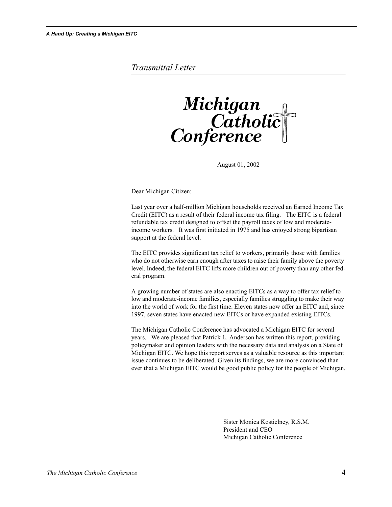#### *Transmittal Letter*



August 01, 2002

Dear Michigan Citizen:

Last year over a half-million Michigan households received an Earned Income Tax Credit (EITC) as a result of their federal income tax filing. The EITC is a federal refundable tax credit designed to offset the payroll taxes of low and moderateincome workers. It was first initiated in 1975 and has enjoyed strong bipartisan support at the federal level.

The EITC provides significant tax relief to workers, primarily those with families who do not otherwise earn enough after taxes to raise their family above the poverty level. Indeed, the federal EITC lifts more children out of poverty than any other federal program.

A growing number of states are also enacting EITCs as a way to offer tax relief to low and moderate-income families, especially families struggling to make their way into the world of work for the first time. Eleven states now offer an EITC and, since 1997, seven states have enacted new EITCs or have expanded existing EITCs.

The Michigan Catholic Conference has advocated a Michigan EITC for several years. We are pleased that Patrick L. Anderson has written this report, providing policymaker and opinion leaders with the necessary data and analysis on a State of Michigan EITC. We hope this report serves as a valuable resource as this important issue continues to be deliberated. Given its findings, we are more convinced than ever that a Michigan EITC would be good public policy for the people of Michigan.

> Sister Monica Kostielney, R.S.M. President and CEO Michigan Catholic Conference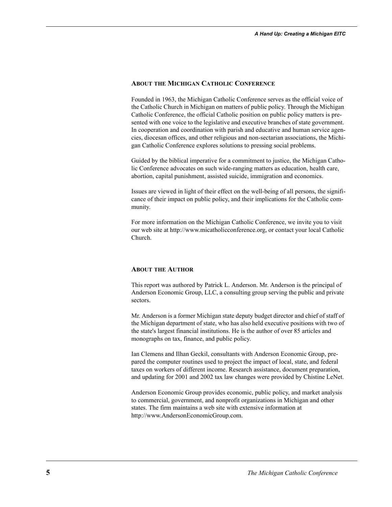#### **ABOUT THE MICHIGAN CATHOLIC CONFERENCE**

Founded in 1963, the Michigan Catholic Conference serves as the official voice of the Catholic Church in Michigan on matters of public policy. Through the Michigan Catholic Conference, the official Catholic position on public policy matters is presented with one voice to the legislative and executive branches of state government. In cooperation and coordination with parish and educative and human service agencies, diocesan offices, and other religious and non-sectarian associations, the Michigan Catholic Conference explores solutions to pressing social problems.

Guided by the biblical imperative for a commitment to justice, the Michigan Catholic Conference advocates on such wide-ranging matters as education, health care, abortion, capital punishment, assisted suicide, immigration and economics.

Issues are viewed in light of their effect on the well-being of all persons, the significance of their impact on public policy, and their implications for the Catholic community.

For more information on the Michigan Catholic Conference, we invite you to visit our web site at http://www.micatholicconference.org, or contact your local Catholic Church.

#### **ABOUT THE AUTHOR**

This report was authored by Patrick L. Anderson. Mr. Anderson is the principal of Anderson Economic Group, LLC, a consulting group serving the public and private sectors.

Mr. Anderson is a former Michigan state deputy budget director and chief of staff of the Michigan department of state, who has also held executive positions with two of the state's largest financial institutions. He is the author of over 85 articles and monographs on tax, finance, and public policy.

Ian Clemens and Ilhan Geckil, consultants with Anderson Economic Group, prepared the computer routines used to project the impact of local, state, and federal taxes on workers of different income. Research assistance, document preparation, and updating for 2001 and 2002 tax law changes were provided by Chistine LeNet.

Anderson Economic Group provides economic, public policy, and market analysis to commercial, government, and nonprofit organizations in Michigan and other states. The firm maintains a web site with extensive information at http://www.AndersonEconomicGroup.com.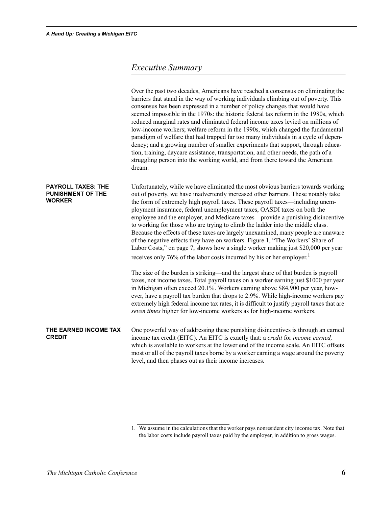### *Executive Summary*

|                                                                        | Over the past two decades, Americans have reached a consensus on eliminating the<br>barriers that stand in the way of working individuals climbing out of poverty. This<br>consensus has been expressed in a number of policy changes that would have<br>seemed impossible in the 1970s: the historic federal tax reform in the 1980s, which<br>reduced marginal rates and eliminated federal income taxes levied on millions of<br>low-income workers; welfare reform in the 1990s, which changed the fundamental<br>paradigm of welfare that had trapped far too many individuals in a cycle of depen-<br>dency; and a growing number of smaller experiments that support, through educa-<br>tion, training, daycare assistance, transportation, and other needs, the path of a<br>struggling person into the working world, and from there toward the American<br>dream. |
|------------------------------------------------------------------------|-----------------------------------------------------------------------------------------------------------------------------------------------------------------------------------------------------------------------------------------------------------------------------------------------------------------------------------------------------------------------------------------------------------------------------------------------------------------------------------------------------------------------------------------------------------------------------------------------------------------------------------------------------------------------------------------------------------------------------------------------------------------------------------------------------------------------------------------------------------------------------|
| <b>PAYROLL TAXES: THE</b><br><b>PUNISHMENT OF THE</b><br><b>WORKER</b> | Unfortunately, while we have eliminated the most obvious barriers towards working<br>out of poverty, we have inadvertently increased other barriers. These notably take<br>the form of extremely high payroll taxes. These payroll taxes—including unem-<br>ployment insurance, federal unemployment taxes, OASDI taxes on both the<br>employee and the employer, and Medicare taxes—provide a punishing disincentive<br>to working for those who are trying to climb the ladder into the middle class.<br>Because the effects of these taxes are largely unexamined, many people are unaware<br>of the negative effects they have on workers. Figure 1, "The Workers' Share of<br>Labor Costs," on page 7, shows how a single worker making just \$20,000 per year<br>receives only 76% of the labor costs incurred by his or her employer. <sup>1</sup>                   |
|                                                                        | The size of the burden is striking—and the largest share of that burden is payroll<br>taxes, not income taxes. Total payroll taxes on a worker earning just \$1000 per year<br>in Michigan often exceed 20.1%. Workers earning above \$84,900 per year, how-<br>ever, have a payroll tax burden that drops to 2.9%. While high-income workers pay<br>extremely high federal income tax rates, it is difficult to justify payroll taxes that are<br>seven times higher for low-income workers as for high-income workers.                                                                                                                                                                                                                                                                                                                                                    |
| THE EARNED INCOME TAX<br><b>CREDIT</b>                                 | One powerful way of addressing these punishing disincentives is through an earned<br>income tax credit (EITC). An EITC is exactly that: a credit for income earned,<br>which is available to workers at the lower end of the income scale. An EITC offsets<br>most or all of the payroll taxes borne by a worker earning a wage around the poverty<br>level, and then phases out as their income increases.                                                                                                                                                                                                                                                                                                                                                                                                                                                                 |

<sup>1.</sup> We assume in the calculations that the worker pays nonresident city income tax. Note that the labor costs include payroll taxes paid by the employer, in addition to gross wages.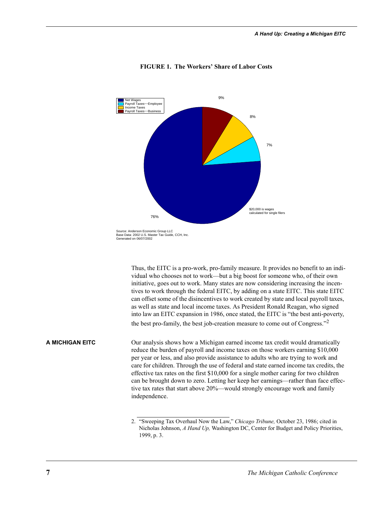

#### **FIGURE 1. The Workers' Share of Labor Costs**

Thus, the EITC is a pro-work, pro-family measure. It provides no benefit to an individual who chooses not to work—but a big boost for someone who, of their own initiative, goes out to work. Many states are now considering increasing the incentives to work through the federal EITC, by adding on a state EITC. This state EITC can offset some of the disincentives to work created by state and local payroll taxes, as well as state and local income taxes. As President Ronald Reagan, who signed into law an EITC expansion in 1986, once stated, the EITC is "the best anti-poverty, the best pro-family, the best job-creation measure to come out of Congress."<sup>2</sup>

**A MICHIGAN EITC** Our analysis shows how a Michigan earned income tax credit would dramatically reduce the burden of payroll and income taxes on those workers earning \$10,000 per year or less, and also provide assistance to adults who are trying to work and care for children. Through the use of federal and state earned income tax credits, the effective tax rates on the first \$10,000 for a single mother caring for two children can be brought down to zero. Letting her keep her earnings—rather than face effective tax rates that start above 20%—would strongly encourage work and family independence.

<sup>2. &</sup>quot;Sweeping Tax Overhaul Now the Law," *Chicago Tribune,* October 23, 1986; cited in Nicholas Johnson, *A Hand Up,* Washington DC, Center for Budget and Policy Priorities, 1999, p. 3.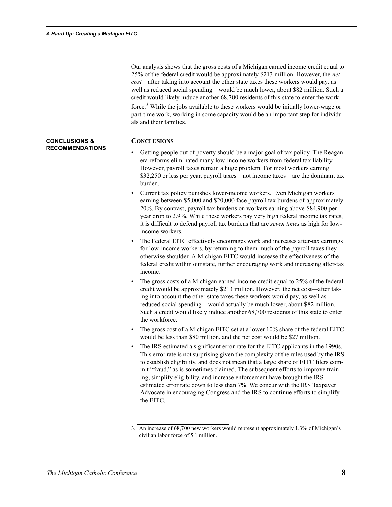**CONCLUSIONS & RECOMMENDATIONS** Our analysis shows that the gross costs of a Michigan earned income credit equal to 25% of the federal credit would be approximately \$213 million. However, the *net cost*—after taking into account the other state taxes these workers would pay, as well as reduced social spending—would be much lower, about \$82 million. Such a credit would likely induce another 68,700 residents of this state to enter the workforce.3 While the jobs available to these workers would be initially lower-wage or part-time work, working in some capacity would be an important step for individuals and their families.

#### **CONCLUSIONS**

- Getting people out of poverty should be a major goal of tax policy. The Reaganera reforms eliminated many low-income workers from federal tax liability. However, payroll taxes remain a huge problem. For most workers earning \$32,250 or less per year, payroll taxes—not income taxes—are the dominant tax burden.
- Current tax policy punishes lower-income workers. Even Michigan workers earning between \$5,000 and \$20,000 face payroll tax burdens of approximately 20%. By contrast, payroll tax burdens on workers earning above \$84,900 per year drop to 2.9%. While these workers pay very high federal income tax rates, it is difficult to defend payroll tax burdens that are *seven times* as high for lowincome workers.
- The Federal EITC effectively encourages work and increases after-tax earnings for low-income workers, by returning to them much of the payroll taxes they otherwise shoulder. A Michigan EITC would increase the effectiveness of the federal credit within our state, further encouraging work and increasing after-tax income.
- The gross costs of a Michigan earned income credit equal to 25% of the federal credit would be approximately \$213 million. However, the net cost—after taking into account the other state taxes these workers would pay, as well as reduced social spending—would actually be much lower, about \$82 million. Such a credit would likely induce another 68,700 residents of this state to enter the workforce.
- The gross cost of a Michigan EITC set at a lower 10% share of the federal EITC would be less than \$80 million, and the net cost would be \$27 million.
- The IRS estimated a significant error rate for the EITC applicants in the 1990s. This error rate is not surprising given the complexity of the rules used by the IRS to establish eligibility, and does not mean that a large share of EITC filers commit "fraud," as is sometimes claimed. The subsequent efforts to improve training, simplify eligibility, and increase enforcement have brought the IRSestimated error rate down to less than 7%. We concur with the IRS Taxpayer Advocate in encouraging Congress and the IRS to continue efforts to simplify the EITC.

<sup>3.</sup> An increase of 68,700 new workers would represent approximately 1.3% of Michigan's civilian labor force of 5.1 million.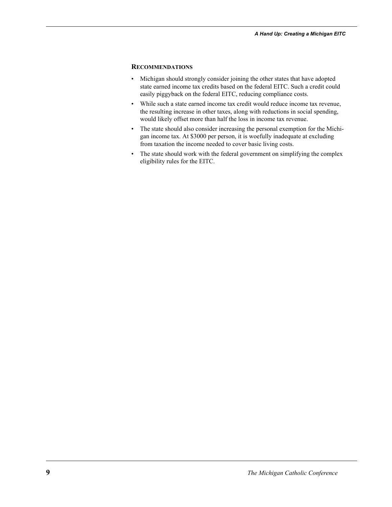#### **RECOMMENDATIONS**

- Michigan should strongly consider joining the other states that have adopted state earned income tax credits based on the federal EITC. Such a credit could easily piggyback on the federal EITC, reducing compliance costs.
- While such a state earned income tax credit would reduce income tax revenue, the resulting increase in other taxes, along with reductions in social spending, would likely offset more than half the loss in income tax revenue.
- The state should also consider increasing the personal exemption for the Michigan income tax. At \$3000 per person, it is woefully inadequate at excluding from taxation the income needed to cover basic living costs.
- The state should work with the federal government on simplifying the complex eligibility rules for the EITC.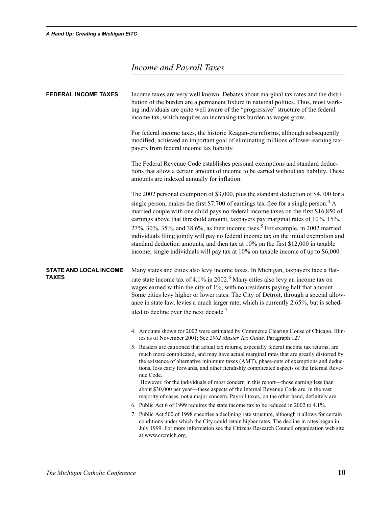## *Income and Payroll Taxes*

| <b>FEDERAL INCOME TAXES</b>                   | Income taxes are very well known. Debates about marginal tax rates and the distri-<br>bution of the burden are a permanent fixture in national politics. Thus, most work-<br>ing individuals are quite well aware of the "progressive" structure of the federal<br>income tax, which requires an increasing tax burden as wages grow.                                                                                                                                                                                                                                                                                                                                                                                               |  |  |  |
|-----------------------------------------------|-------------------------------------------------------------------------------------------------------------------------------------------------------------------------------------------------------------------------------------------------------------------------------------------------------------------------------------------------------------------------------------------------------------------------------------------------------------------------------------------------------------------------------------------------------------------------------------------------------------------------------------------------------------------------------------------------------------------------------------|--|--|--|
|                                               | For federal income taxes, the historic Reagan-era reforms, although subsequently<br>modified, achieved an important goal of eliminating millions of lower-earning tax-<br>payers from federal income tax liability.                                                                                                                                                                                                                                                                                                                                                                                                                                                                                                                 |  |  |  |
|                                               | The Federal Revenue Code establishes personal exemptions and standard deduc-<br>tions that allow a certain amount of income to be earned without tax liability. These<br>amounts are indexed annually for inflation.                                                                                                                                                                                                                                                                                                                                                                                                                                                                                                                |  |  |  |
|                                               | The 2002 personal exemption of \$3,000, plus the standard deduction of \$4,700 for a<br>single person, makes the first \$7,700 of earnings tax-free for a single person. <sup>4</sup> A<br>married couple with one child pays no federal income taxes on the first \$16,850 of<br>earnings above that threshold amount, taxpayers pay marginal rates of 10%, 15%,<br>27%, 30%, 35%, and 38.6%, as their income rises. <sup>5</sup> For example, in 2002 married<br>individuals filing jointly will pay no federal income tax on the initial exemption and<br>standard deduction amounts, and then tax at 10% on the first \$12,000 in taxable<br>income; single individuals will pay tax at 10% on taxable income of up to \$6,000. |  |  |  |
| <b>STATE AND LOCAL INCOME</b><br><b>TAXES</b> | Many states and cities also levy income taxes. In Michigan, taxpayers face a flat-<br>rate state income tax of 4.1% in 2002. <sup>6</sup> Many cities also levy an income tax on<br>wages earned within the city of 1%, with nonresidents paying half that amount.<br>Some cities levy higher or lower rates. The City of Detroit, through a special allow-<br>ance in state law, levies a much larger rate, which is currently 2.65%, but is sched-<br>uled to decline over the next decade. <sup>7</sup>                                                                                                                                                                                                                          |  |  |  |
|                                               | 4. Amounts shown for 2002 were estimated by Commerce Clearing House of Chicago, Illin-<br>ios as of November 2001; See 2002 Master Tax Guide. Paragraph 127                                                                                                                                                                                                                                                                                                                                                                                                                                                                                                                                                                         |  |  |  |
|                                               | 5. Readers are cautioned that actual tax returns, especially federal income tax returns, are<br>much more complicated, and may have actual marginal rates that are greatly distorted by<br>the existence of alternative minimum taxes (AMT), phase-outs of exemptions and deduc-<br>tions, loss carry forwards, and other fiendishly complicated aspects of the Internal Reve-<br>nue Code.                                                                                                                                                                                                                                                                                                                                         |  |  |  |
|                                               | However, for the individuals of most concern in this report—those earning less than<br>about \$30,000 per year—these aspects of the Internal Revenue Code are, in the vast<br>majority of cases, not a major concern. Payroll taxes, on the other hand, definitely are.                                                                                                                                                                                                                                                                                                                                                                                                                                                             |  |  |  |
|                                               | 6. Public Act 6 of 1999 requires the state income tax to be reduced in 2002 to 4.1%.                                                                                                                                                                                                                                                                                                                                                                                                                                                                                                                                                                                                                                                |  |  |  |
|                                               | 7. Public Act 500 of 1998 specifies a declining rate structure, although it allows for certain<br>conditions under which the City could retain higher rates. The decline in rates began in<br>July 1999. For more information see the Citizens Research Council organization web site<br>at www.crcmich.org.                                                                                                                                                                                                                                                                                                                                                                                                                        |  |  |  |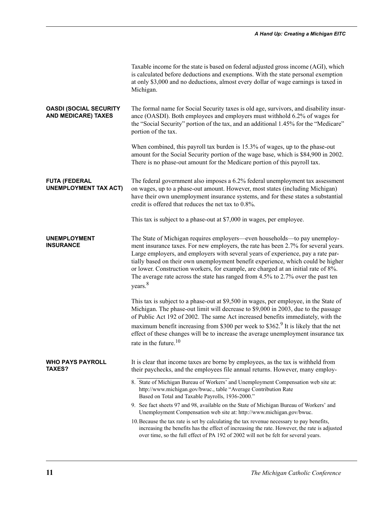|                                                             | Taxable income for the state is based on federal adjusted gross income (AGI), which<br>is calculated before deductions and exemptions. With the state personal exemption<br>at only \$3,000 and no deductions, almost every dollar of wage earnings is taxed in<br>Michigan.                                                                                                                                                                                                                                                             |
|-------------------------------------------------------------|------------------------------------------------------------------------------------------------------------------------------------------------------------------------------------------------------------------------------------------------------------------------------------------------------------------------------------------------------------------------------------------------------------------------------------------------------------------------------------------------------------------------------------------|
| <b>OASDI (SOCIAL SECURITY</b><br><b>AND MEDICARE) TAXES</b> | The formal name for Social Security taxes is old age, survivors, and disability insur-<br>ance (OASDI). Both employees and employers must withhold 6.2% of wages for<br>the "Social Security" portion of the tax, and an additional 1.45% for the "Medicare"<br>portion of the tax.                                                                                                                                                                                                                                                      |
|                                                             | When combined, this payroll tax burden is 15.3% of wages, up to the phase-out<br>amount for the Social Security portion of the wage base, which is \$84,900 in 2002.<br>There is no phase-out amount for the Medicare portion of this payroll tax.                                                                                                                                                                                                                                                                                       |
| <b>FUTA (FEDERAL</b><br><b>UNEMPLOYMENT TAX ACT)</b>        | The federal government also imposes a 6.2% federal unemployment tax assessment<br>on wages, up to a phase-out amount. However, most states (including Michigan)<br>have their own unemployment insurance systems, and for these states a substantial<br>credit is offered that reduces the net tax to 0.8%.                                                                                                                                                                                                                              |
|                                                             | This tax is subject to a phase-out at \$7,000 in wages, per employee.                                                                                                                                                                                                                                                                                                                                                                                                                                                                    |
| <b>UNEMPLOYMENT</b><br><b>INSURANCE</b>                     | The State of Michigan requires employers—even households—to pay unemploy-<br>ment insurance taxes. For new employers, the rate has been 2.7% for several years.<br>Large employers, and employers with several years of experience, pay a rate par-<br>tially based on their own unemployment benefit experience, which could be higher<br>or lower. Construction workers, for example, are charged at an initial rate of 8%.<br>The average rate across the state has ranged from 4.5% to 2.7% over the past ten<br>years. <sup>8</sup> |
|                                                             | This tax is subject to a phase-out at \$9,500 in wages, per employee, in the State of<br>Michigan. The phase-out limit will decrease to \$9,000 in 2003, due to the passage<br>of Public Act 192 of 2002. The same Act increased benefits immediately, with the                                                                                                                                                                                                                                                                          |
|                                                             | maximum benefit increasing from \$300 per week to \$362. <sup>9</sup> It is likely that the net<br>effect of these changes will be to increase the average unemployment insurance tax<br>rate in the future. <sup>10</sup>                                                                                                                                                                                                                                                                                                               |
| <b>WHO PAYS PAYROLL</b><br>TAXES?                           | It is clear that income taxes are borne by employees, as the tax is withheld from<br>their paychecks, and the employees file annual returns. However, many employ-                                                                                                                                                                                                                                                                                                                                                                       |
|                                                             | 8. State of Michigan Bureau of Workers' and Unemployment Compensation web site at:<br>http://www.michigan.gov/bwuc., table "Average Contribution Rate<br>Based on Total and Taxable Payrolls, 1936-2000."                                                                                                                                                                                                                                                                                                                                |
|                                                             | 9. See fact sheets 97 and 98, available on the State of Michigan Bureau of Workers' and<br>Unemployment Compensation web site at: http://www.michigan.gov/bwuc.                                                                                                                                                                                                                                                                                                                                                                          |
|                                                             | 10. Because the tax rate is set by calculating the tax revenue necessary to pay benefits,<br>increasing the benefits has the effect of increasing the rate. However, the rate is adjusted<br>over time, so the full effect of PA 192 of 2002 will not be felt for several years.                                                                                                                                                                                                                                                         |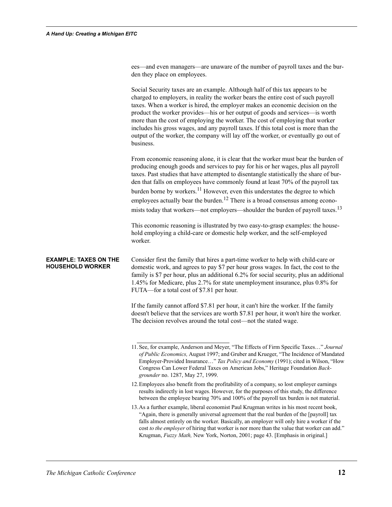ees—and even managers—are unaware of the number of payroll taxes and the burden they place on employees.

Social Security taxes are an example. Although half of this tax appears to be charged to employers, in reality the worker bears the entire cost of such payroll taxes. When a worker is hired, the employer makes an economic decision on the product the worker provides—his or her output of goods and services—is worth more than the cost of employing the worker. The cost of employing that worker includes his gross wages, and any payroll taxes. If this total cost is more than the output of the worker, the company will lay off the worker, or eventually go out of business.

From economic reasoning alone, it is clear that the worker must bear the burden of producing enough goods and services to pay for his or her wages, plus all payroll taxes. Past studies that have attempted to disentangle statistically the share of burden that falls on employees have commonly found at least 70% of the payroll tax burden borne by workers.<sup>11</sup> However, even this understates the degree to which employees actually bear the burden.<sup>12</sup> There is a broad consensus among economists today that workers—not employers—shoulder the burden of payroll taxes.<sup>13</sup>

This economic reasoning is illustrated by two easy-to-grasp examples: the household employing a child-care or domestic help worker, and the self-employed worker.

**EXAMPLE: TAXES ON THE HOUSEHOLD WORKER** Consider first the family that hires a part-time worker to help with child-care or domestic work, and agrees to pay \$7 per hour gross wages. In fact, the cost to the family is \$7 per hour, plus an additional 6.2% for social security, plus an additional 1.45% for Medicare, plus 2.7% for state unemployment insurance, plus 0.8% for FUTA—for a total cost of \$7.81 per hour.

> If the family cannot afford \$7.81 per hour, it can't hire the worker. If the family doesn't believe that the services are worth \$7.81 per hour, it won't hire the worker. The decision revolves around the total cost—not the stated wage.

<sup>11.</sup>See, for example, Anderson and Meyer, "The Effects of Firm Specific Taxes…" *Journal of Public Economics,* August 1997; and Gruber and Krueger, "The Incidence of Mandated Employer-Provided Insurance…" *Tax Policy and Economy* (1991); cited in Wilson, "How Congress Can Lower Federal Taxes on American Jobs," Heritage Foundation *Backgrounder* no. 1287, May 27, 1999.

<sup>12.</sup>Employees also benefit from the profitability of a company, so lost employer earnings results indirectly in lost wages. However, for the purposes of this study, the difference between the employee bearing 70% and 100% of the payroll tax burden is not material.

<sup>13.</sup>As a further example, liberal economist Paul Krugman writes in his most recent book, "Again, there is generally universal agreement that the real burden of the [payroll] tax falls almost entirely on the worker. Basically, an employer will only hire a worker if the cost *to the employer* of hiring that worker is nor more than the value that worker can add." Krugman, *Fuzzy Math,* New York, Norton, 2001; page 43. [Emphasis in original.]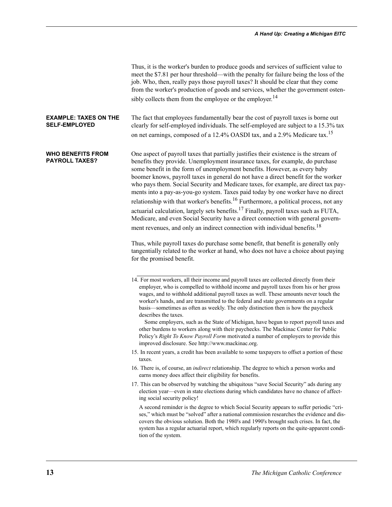| Thus, it is the worker's burden to produce goods and services of sufficient value to  |
|---------------------------------------------------------------------------------------|
| meet the \$7.81 per hour threshold—with the penalty for failure being the loss of the |
| job. Who, then, really pays those payroll taxes? It should be clear that they come    |
| from the worker's production of goods and services, whether the government osten-     |
| sibly collects them from the employee or the employer. <sup>14</sup>                  |

#### **EXAMPLE: TAXES ON THE SELF-EMPLOYED** The fact that employees fundamentally bear the cost of payroll taxes is borne out clearly for self-employed individuals. The self-employed are subject to a 15.3% tax on net earnings, composed of a 12.4% OASDI tax, and a 2.9% Medicare tax.<sup>15</sup>

**WHO BENEFITS FROM PAYROLL TAXES?** One aspect of payroll taxes that partially justifies their existence is the stream of benefits they provide. Unemployment insurance taxes, for example, do purchase some benefit in the form of unemployment benefits. However, as every baby boomer knows, payroll taxes in general do not have a direct benefit for the worker who pays them. Social Security and Medicare taxes, for example, are direct tax payments into a pay-as-you-go system. Taxes paid today by one worker have no direct relationship with that worker's benefits.<sup>16</sup> Furthermore, a political process, not any actuarial calculation, largely sets benefits.<sup>17</sup> Finally, payroll taxes such as FUTA, Medicare, and even Social Security have a direct connection with general government revenues, and only an indirect connection with individual benefits.<sup>18</sup>

> Thus, while payroll taxes do purchase some benefit, that benefit is generally only tangentially related to the worker at hand, who does not have a choice about paying for the promised benefit.

- 15. In recent years, a credit has been available to some taxpayers to offset a portion of these taxes.
- 16. There is, of course, an *indirect* relationship. The degree to which a person works and earns money does affect their eligibility for benefits.
- 17. This can be observed by watching the ubiquitous "save Social Security" ads during any election year—even in state elections during which candidates have no chance of affecting social security policy!

A second reminder is the degree to which Social Security appears to suffer periodic "crises," which must be "solved" after a national commission researches the evidence and discovers the obvious solution. Both the 1980's and 1990's brought such crises. In fact, the system has a regular actuarial report, which regularly reports on the quite-apparent condition of the system.

<sup>14.</sup> For most workers, all their income and payroll taxes are collected directly from their employer, who is compelled to withhold income and payroll taxes from his or her gross wages, and to withhold additional payroll taxes as well. These amounts never touch the worker's hands, and are transmitted to the federal and state governments on a regular basis—sometimes as often as weekly. The only distinction then is how the paycheck describes the taxes.

Some employers, such as the State of Michigan, have begun to report payroll taxes and other burdens to workers along with their paychecks. The Mackinac Center for Public Policy's *Right To Know Payroll Form* motivated a number of employers to provide this improved disclosure. See http://www.mackinac.org.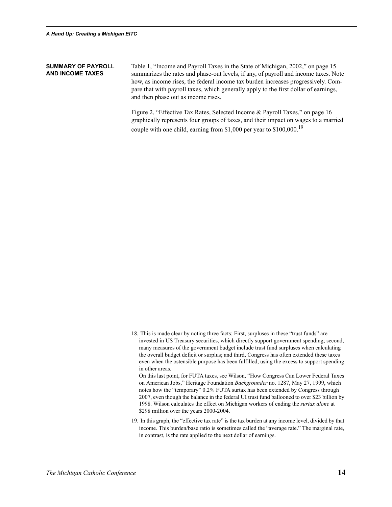#### **SUMMARY OF PAYROLL AND INCOME TAXES**

Table 1, "Income and Payroll Taxes in the State of Michigan, 2002," on page 15 summarizes the rates and phase-out levels, if any, of payroll and income taxes. Note how, as income rises, the federal income tax burden increases progressively. Compare that with payroll taxes, which generally apply to the first dollar of earnings, and then phase out as income rises.

Figure 2, "Effective Tax Rates, Selected Income & Payroll Taxes," on page 16 graphically represents four groups of taxes, and their impact on wages to a married couple with one child, earning from \$1,000 per year to \$100,000.<sup>19</sup>

18. This is made clear by noting three facts: First, surpluses in these "trust funds" are invested in US Treasury securities, which directly support government spending; second, many measures of the government budget include trust fund surpluses when calculating the overall budget deficit or surplus; and third, Congress has often extended these taxes even when the ostensible purpose has been fulfilled, using the excess to support spending in other areas.

On this last point, for FUTA taxes, see Wilson, "How Congress Can Lower Federal Taxes on American Jobs," Heritage Foundation *Backgrounder* no. 1287, May 27, 1999, which notes how the "temporary" 0.2% FUTA surtax has been extended by Congress through 2007, even though the balance in the federal UI trust fund ballooned to over \$23 billion by 1998. Wilson calculates the effect on Michigan workers of ending the *surtax alone* at \$298 million over the years 2000-2004.

19. In this graph, the "effective tax rate" is the tax burden at any income level, divided by that income. This burden/base ratio is sometimes called the "average rate." The marginal rate, in contrast, is the rate applied to the next dollar of earnings.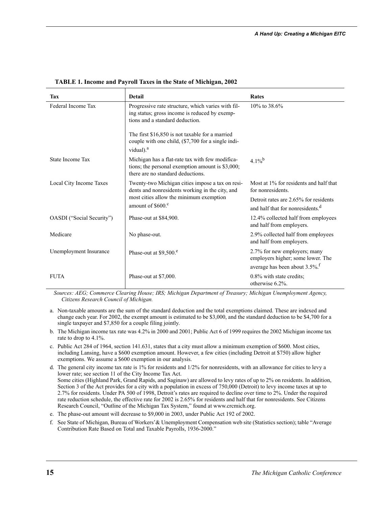| Tax                       | <b>Detail</b>                                                                                                                            | Rates                                                                                 |
|---------------------------|------------------------------------------------------------------------------------------------------------------------------------------|---------------------------------------------------------------------------------------|
| Federal Income Tax        | Progressive rate structure, which varies with fil-<br>ing status; gross income is reduced by exemp-<br>tions and a standard deduction.   | $10\%$ to 38.6%                                                                       |
|                           | The first \$16,850 is not taxable for a married<br>couple with one child, (\$7,700 for a single indi-<br>vidual). <sup>a</sup>           |                                                                                       |
| State Income Tax          | Michigan has a flat-rate tax with few modifica-<br>tions; the personal exemption amount is \$3,000;<br>there are no standard deductions. | $4.1\%$ <sup>b</sup>                                                                  |
| Local City Income Taxes   | Twenty-two Michigan cities impose a tax on resi-<br>dents and nonresidents working in the city, and                                      | Most at 1% for residents and half that<br>for nonresidents.                           |
|                           | most cities allow the minimum exemption<br>amount of $$600c$                                                                             | Detroit rates are 2.65% for residents<br>and half that for nonresidents. <sup>d</sup> |
| OASDI ("Social Security") | Phase-out at \$84,900.                                                                                                                   | 12.4% collected half from employees<br>and half from employers.                       |
| Medicare                  | No phase-out.                                                                                                                            | 2.9% collected half from employees<br>and half from employers.                        |
| Unemployment Insurance    | Phase-out at $$9,500$ . <sup>e</sup>                                                                                                     | 2.7% for new employers; many<br>employers higher; some lower. The                     |
|                           |                                                                                                                                          | average has been about 3.5%. <sup>f</sup>                                             |
| <b>FUTA</b>               | Phase-out at \$7,000.                                                                                                                    | 0.8% with state credits.<br>otherwise 6.2%.                                           |

**TABLE 1. Income and Payroll Taxes in the State of Michigan, 2002**

*Sources: AEG; Commerce Clearing House; IRS; Michigan Department of Treasury; Michigan Unemployment Agency, Citizens Research Council of Michigan.*

- a. Non-taxable amounts are the sum of the standard deduction and the total exemptions claimed. These are indexed and change each year. For 2002, the exempt amount is estimated to be \$3,000, and the standard deduction to be \$4,700 for a single taxpayer and \$7,850 for a couple filing jointly.
- b. The Michigan income tax rate was 4.2% in 2000 and 2001; Public Act 6 of 1999 requires the 2002 Michigan income tax rate to drop to 4.1%.
- c. Public Act 284 of 1964, section 141.631, states that a city must allow a minimum exemption of \$600. Most cities, including Lansing, have a \$600 exemption amount. However, a few cities (including Detroit at \$750) allow higher exemptions. We assume a \$600 exemption in our analysis.
- d. The general city income tax rate is 1% for residents and 1/2% for nonresidents, with an allowance for cities to levy a lower rate; see section 11 of the City Income Tax Act. Some cities (Highland Park, Grand Rapids, and Saginaw) are allowed to levy rates of up to 2% on residents. In addition, Section 3 of the Act provides for a city with a population in excess of 750,000 (Detroit) to levy income taxes at up to 2.7% for residents. Under PA 500 of 1998, Detroit's rates are required to decline over time to 2%. Under the required rate reduction schedule, the effective rate for 2002 is 2.65% for residents and half that for nonresidents. See Citizens Research Council, "Outline of the Michigan Tax System," found at www.crcmich.org.
- e. The phase-out amount will decrease to \$9,000 in 2003, under Public Act 192 of 2002.
- f. See State of Michigan, Bureau of Workers'& Unemployment Compensation web site (Statistics section); table "Average Contribution Rate Based on Total and Taxable Payrolls, 1936-2000."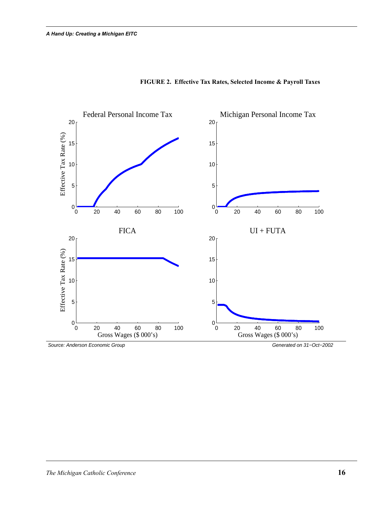

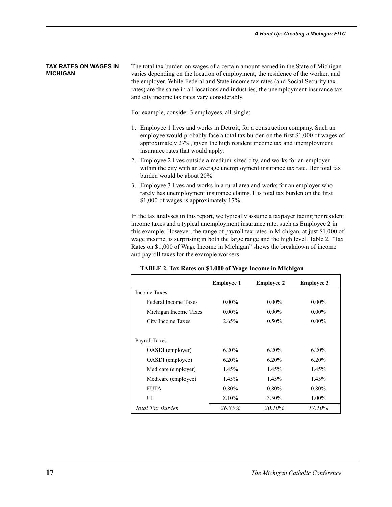#### **TAX RATES ON WAGES IN MICHIGAN**

The total tax burden on wages of a certain amount earned in the State of Michigan varies depending on the location of employment, the residence of the worker, and the employer. While Federal and State income tax rates (and Social Security tax rates) are the same in all locations and industries, the unemployment insurance tax and city income tax rates vary considerably.

For example, consider 3 employees, all single:

- 1. Employee 1 lives and works in Detroit, for a construction company. Such an employee would probably face a total tax burden on the first \$1,000 of wages of approximately 27%, given the high resident income tax and unemployment insurance rates that would apply.
- 2. Employee 2 lives outside a medium-sized city, and works for an employer within the city with an average unemployment insurance tax rate. Her total tax burden would be about 20%.
- 3. Employee 3 lives and works in a rural area and works for an employer who rarely has unemployment insurance claims. His total tax burden on the first \$1,000 of wages is approximately 17%.

In the tax analyses in this report, we typically assume a taxpayer facing nonresident income taxes and a typical unemployment insurance rate, such as Employee 2 in this example. However, the range of payroll tax rates in Michigan, at just \$1,000 of wage income, is surprising in both the large range and the high level. Table 2, "Tax Rates on \$1,000 of Wage Income in Michigan" shows the breakdown of income and payroll taxes for the example workers.

|                       | <b>Employee 1</b> | <b>Employee 2</b> | <b>Employee 3</b> |
|-----------------------|-------------------|-------------------|-------------------|
| <b>Income Taxes</b>   |                   |                   |                   |
| Federal Income Taxes  | $0.00\%$          | $0.00\%$          | $0.00\%$          |
| Michigan Income Taxes | $0.00\%$          | $0.00\%$          | $0.00\%$          |
| City Income Taxes     | 2.65%             | $0.50\%$          | $0.00\%$          |
| Payroll Taxes         |                   |                   |                   |
| OASDI (employer)      | $6.20\%$          | 6.20%             | 6.20%             |
| OASDI (employee)      | 6.20%             | $6.20\%$          | 6.20%             |
| Medicare (employer)   | 1.45%             | 1.45%             | 1.45%             |
| Medicare (employee)   | 1.45%             | 1.45%             | 1.45%             |
| <b>FUTA</b>           | $0.80\%$          | $0.80\%$          | $0.80\%$          |
| UІ                    | 8.10%             | 3.50%             | $1.00\%$          |
| Total Tax Burden      | 26.85%            | 20.10%            | 17.10%            |

**TABLE 2. Tax Rates on \$1,000 of Wage Income in Michigan**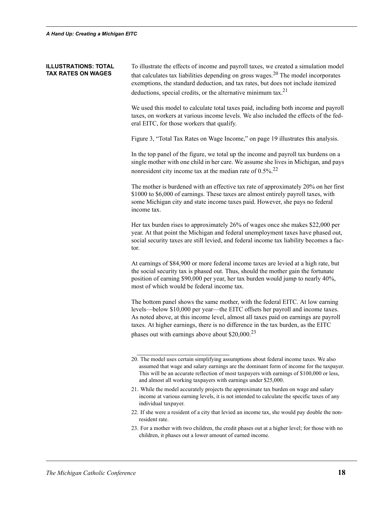#### **ILLUSTRATIONS: TOTAL TAX RATES ON WAGES**

To illustrate the effects of income and payroll taxes, we created a simulation model that calculates tax liabilities depending on gross wages.<sup>20</sup> The model incorporates exemptions, the standard deduction, and tax rates, but does not include itemized deductions, special credits, or the alternative minimum tax.<sup>21</sup>

We used this model to calculate total taxes paid, including both income and payroll taxes, on workers at various income levels. We also included the effects of the federal EITC, for those workers that qualify.

Figure 3, "Total Tax Rates on Wage Income," on page 19 illustrates this analysis.

In the top panel of the figure, we total up the income and payroll tax burdens on a single mother with one child in her care. We assume she lives in Michigan, and pays nonresident city income tax at the median rate of  $0.5\%$ .<sup>22</sup>

The mother is burdened with an effective tax rate of approximately 20% on her first \$1000 to \$6,000 of earnings. These taxes are almost entirely payroll taxes, with some Michigan city and state income taxes paid. However, she pays no federal income tax.

Her tax burden rises to approximately 26% of wages once she makes \$22,000 per year. At that point the Michigan and federal unemployment taxes have phased out, social security taxes are still levied, and federal income tax liability becomes a factor.

At earnings of \$84,900 or more federal income taxes are levied at a high rate, but the social security tax is phased out. Thus, should the mother gain the fortunate position of earning \$90,000 per year, her tax burden would jump to nearly 40%, most of which would be federal income tax.

The bottom panel shows the same mother, with the federal EITC. At low earning levels—below \$10,000 per year—the EITC offsets her payroll and income taxes. As noted above, at this income level, almost all taxes paid on earnings are payroll taxes. At higher earnings, there is no difference in the tax burden, as the EITC phases out with earnings above about \$20,000.<sup>23</sup>

- 21. While the model accurately projects the approximate tax burden on wage and salary income at various earning levels, it is not intended to calculate the specific taxes of any individual taxpayer.
- 22. If she were a resident of a city that levied an income tax, she would pay double the nonresident rate.
- 23. For a mother with two children, the credit phases out at a higher level; for those with no children, it phases out a lower amount of earned income.

<sup>20.</sup> The model uses certain simplifying assumptions about federal income taxes. We also assumed that wage and salary earnings are the dominant form of income for the taxpayer. This will be an accurate reflection of most taxpayers with earnings of \$100,000 or less, and almost all working taxpayers with earnings under \$25,000.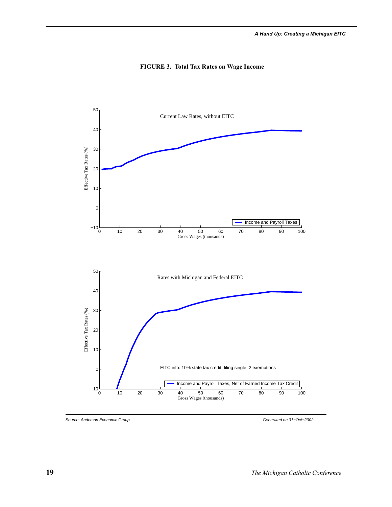

#### **FIGURE 3. Total Tax Rates on Wage Income**

Source: Anderson Economic Group Generated on 31−Oct−2002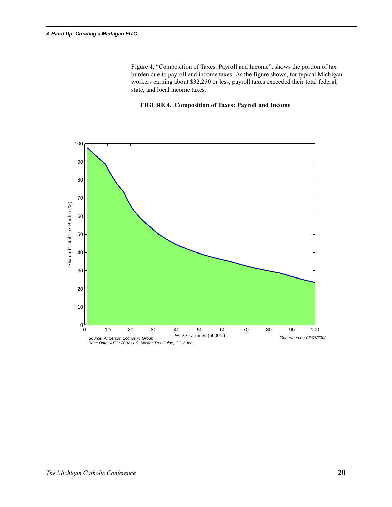Figure 4, "Composition of Taxes: Payroll and Income", shows the portion of tax burden due to payroll and income taxes. As the figure shows, for typical Michigan workers earning about \$32,250 or less, payroll taxes exceeded their total federal, state, and local income taxes.

#### **FIGURE 4. Composition of Taxes: Payroll and Income**

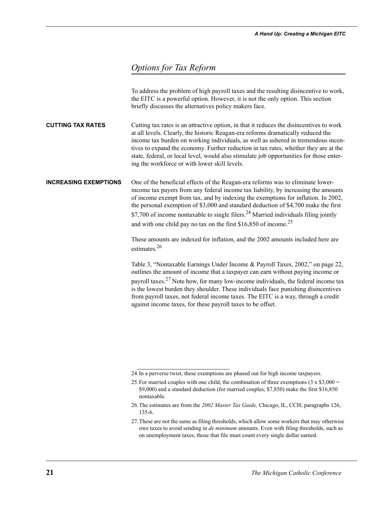#### *Options for Tax Reform*

|                              | To address the problem of high payroll taxes and the resulting disincentive to work,<br>the EITC is a powerful option. However, it is not the only option. This section<br>briefly discusses the alternatives policy makers face.                                                                                                                                                                                                                                                                                                   |
|------------------------------|-------------------------------------------------------------------------------------------------------------------------------------------------------------------------------------------------------------------------------------------------------------------------------------------------------------------------------------------------------------------------------------------------------------------------------------------------------------------------------------------------------------------------------------|
| <b>CUTTING TAX RATES</b>     | Cutting tax rates is an attractive option, in that it reduces the disincentives to work<br>at all levels. Clearly, the historic Reagan-era reforms dramatically reduced the<br>income tax burden on working individuals, as well as ushered in tremendous incen-<br>tives to expand the economy. Further reduction in tax rates, whether they are at the<br>state, federal, or local level, would also stimulate job opportunities for those enter-<br>ing the workforce or with lower skill levels.                                |
| <b>INCREASING EXEMPTIONS</b> | One of the beneficial effects of the Reagan-era reforms was to eliminate lower-<br>income tax payers from any federal income tax liability, by increasing the amounts<br>of income exempt from tax, and by indexing the exemptions for inflation. In 2002,<br>the personal exemption of \$3,000 and standard deduction of \$4,700 make the first<br>\$7,700 of income nontaxable to single filers. <sup>24</sup> Married individuals filing jointly<br>and with one child pay no tax on the first \$16,850 of income. <sup>25</sup> |
|                              | These amounts are indexed for inflation, and the 2002 amounts included here are<br>estimates. <sup>26</sup>                                                                                                                                                                                                                                                                                                                                                                                                                         |
|                              | Table 3, "Nontaxable Earnings Under Income & Payroll Taxes, 2002," on page 22,<br>outlines the amount of income that a taxpayer can earn without paying income or<br>payroll taxes. <sup>27</sup> Note how, for many low-income individuals, the federal income tax<br>is the lowest burden they shoulder. These individuals face punishing disincentives<br>from payroll taxes, not federal income taxes. The EITC is a way, through a credit<br>against income taxes, for these payroll taxes to be offset.                       |
|                              |                                                                                                                                                                                                                                                                                                                                                                                                                                                                                                                                     |

<sup>24.</sup>In a perverse twist, these exemptions are phased out for high income taxpayers.

<sup>25.</sup> For married couples with one child, the combination of three exemptions  $(3 \times $3,000 =$ \$9,000) and a standard deduction (for married couples, \$7,850) make the first \$16,850 nontaxable.

<sup>26.</sup>The estimates are from the *2002 Master Tax Guide,* Chicago, IL, CCH; paragraphs 126, 135-6.

<sup>27.</sup>These are not the same as filing thresholds, which allow some workers that may otherwise owe taxes to avoid sending in *de minimum* amounts. Even with filing thresholds, such as on unemployment taxes, those that file must count every single dollar earned.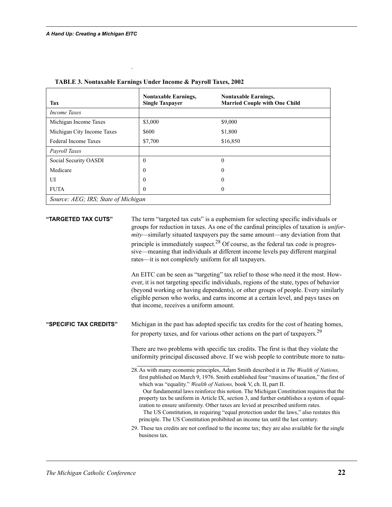| Tax                                 | <b>Nontaxable Earnings,</b><br><b>Single Taxpayer</b> | <b>Nontaxable Earnings,</b><br><b>Married Couple with One Child</b> |
|-------------------------------------|-------------------------------------------------------|---------------------------------------------------------------------|
| <i>Income Taxes</i>                 |                                                       |                                                                     |
| Michigan Income Taxes               | \$3,000                                               | \$9,000                                                             |
| Michigan City Income Taxes          | \$600                                                 | \$1,800                                                             |
| Federal Income Taxes                | \$7,700                                               | \$16,850                                                            |
| Payroll Taxes                       |                                                       |                                                                     |
| Social Security OASDI               | $\theta$                                              | $\theta$                                                            |
| Medicare                            | $\theta$                                              | $\boldsymbol{0}$                                                    |
| UI                                  | $\theta$                                              | $\theta$                                                            |
| <b>FUTA</b>                         | $\theta$                                              | $\theta$                                                            |
| Source: AEG; IRS; State of Michigan |                                                       |                                                                     |

|  | TABLE 3. Nontaxable Earnings Under Income & Payroll Taxes, 2002 |  |  |
|--|-----------------------------------------------------------------|--|--|
|  |                                                                 |  |  |

.

**"TARGETED TAX CUTS"** The term "targeted tax cuts" is a euphemism for selecting specific individuals or groups for reduction in taxes. As one of the cardinal principles of taxation is *uniformity—*similarly situated taxpayers pay the same amount—any deviation from that principle is immediately suspect.<sup>28</sup> Of course, as the federal tax code is progressive—meaning that individuals at different income levels pay different marginal rates—it is not completely uniform for all taxpayers.

> An EITC can be seen as "targeting" tax relief to those who need it the most. However, it is not targeting specific individuals, regions of the state, types of behavior (beyond working or having dependents), or other groups of people. Every similarly eligible person who works, and earns income at a certain level, and pays taxes on that income, receives a uniform amount.

**"SPECIFIC TAX CREDITS"** Michigan in the past has adopted specific tax credits for the cost of heating homes, for property taxes, and for various other actions on the part of taxpayers.<sup>29</sup>

> There are two problems with specific tax credits. The first is that they violate the uniformity principal discussed above. If we wish people to contribute more to natu-

 Our fundamental laws reinforce this notion. The Michigan Constitution requires that the property tax be uniform in Article IX, section 3, and further establishes a system of equalization to ensure uniformity. Other taxes are levied at prescribed uniform rates. The US Constitution, in requiring "equal protection under the laws," also restates this

principle. The US Constitution prohibited an income tax until the last century.

29. These tax credits are not confined to the income tax; they are also available for the single business tax.

<sup>28.</sup>As with many economic principles, Adam Smith described it in *The Wealth of Nations,*  first published on March 9, 1976. Smith established four "maxims of taxation," the first of which was "equality." *Wealth of Nations,* book V, ch. II, part II.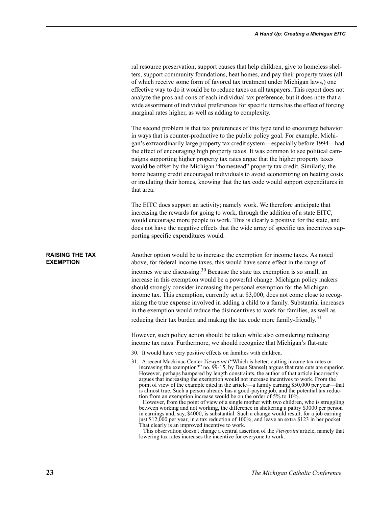|                                            | ral resource preservation, support causes that help children, give to homeless shel-<br>ters, support community foundations, heat homes, and pay their property taxes (all<br>of which receive some form of favored tax treatment under Michigan laws,) one<br>effective way to do it would be to reduce taxes on all taxpayers. This report does not<br>analyze the pros and cons of each individual tax preference, but it does note that a<br>wide assortment of individual preferences for specific items has the effect of forcing<br>marginal rates higher, as well as adding to complexity.                                                                                                                                                                                                                                                                                                                                                                                                                                                                                                                                                                                                                                              |
|--------------------------------------------|-------------------------------------------------------------------------------------------------------------------------------------------------------------------------------------------------------------------------------------------------------------------------------------------------------------------------------------------------------------------------------------------------------------------------------------------------------------------------------------------------------------------------------------------------------------------------------------------------------------------------------------------------------------------------------------------------------------------------------------------------------------------------------------------------------------------------------------------------------------------------------------------------------------------------------------------------------------------------------------------------------------------------------------------------------------------------------------------------------------------------------------------------------------------------------------------------------------------------------------------------|
|                                            | The second problem is that tax preferences of this type tend to encourage behavior<br>in ways that is counter-productive to the public policy goal. For example, Michi-<br>gan's extraordinarily large property tax credit system—especially before 1994—had<br>the effect of encouraging high property taxes. It was common to see political cam-<br>paigns supporting higher property tax rates argue that the higher property taxes<br>would be offset by the Michigan "homestead" property tax credit. Similarly, the<br>home heating credit encouraged individuals to avoid economizing on heating costs<br>or insulating their homes, knowing that the tax code would support expenditures in<br>that area.                                                                                                                                                                                                                                                                                                                                                                                                                                                                                                                               |
|                                            | The EITC does support an activity; namely work. We therefore anticipate that<br>increasing the rewards for going to work, through the addition of a state EITC,<br>would encourage more people to work. This is clearly a positive for the state, and<br>does not have the negative effects that the wide array of specific tax incentives sup-<br>porting specific expenditures would.                                                                                                                                                                                                                                                                                                                                                                                                                                                                                                                                                                                                                                                                                                                                                                                                                                                         |
| <b>RAISING THE TAX</b><br><b>EXEMPTION</b> | Another option would be to increase the exemption for income taxes. As noted<br>above, for federal income taxes, this would have some effect in the range of<br>incomes we are discussing. <sup>30</sup> Because the state tax exemption is so small, an<br>increase in this exemption would be a powerful change. Michigan policy makers<br>should strongly consider increasing the personal exemption for the Michigan<br>income tax. This exemption, currently set at \$3,000, does not come close to recog-<br>nizing the true expense involved in adding a child to a family. Substantial increases<br>in the exemption would reduce the disincentives to work for families, as well as<br>reducing their tax burden and making the tax code more family-friendly. <sup>31</sup>                                                                                                                                                                                                                                                                                                                                                                                                                                                           |
|                                            | However, such policy action should be taken while also considering reducing<br>income tax rates. Furthermore, we should recognize that Michigan's flat-rate<br>30. It would have very positive effects on families with children.                                                                                                                                                                                                                                                                                                                                                                                                                                                                                                                                                                                                                                                                                                                                                                                                                                                                                                                                                                                                               |
|                                            | 31. A recent Mackinac Center Viewpoint ("Which is better: cutting income tax rates or<br>increasing the exemption?" no. 99-15, by Dean Stansel) argues that rate cuts are superior.<br>However, perhaps hampered by length constraints, the author of that article incorrectly<br>argues that increasing the exemption would not increase incentives to work. From the<br>point of view of the example cited in the article—a family earning \$50,000 per year—that<br>is almost true. Such a person already has a good-paying job, and the potential tax reduc-<br>tion from an exemption increase would be on the order of 5% to 10%.<br>However, from the point of view of a single mother with two children, who is struggling<br>between working and not working, the difference in sheltering a paltry \$3000 per person<br>in earnings and, say, \$4000, is substantial. Such a change would result, for a job earning<br>just \$12,000 per year, in a tax reduction of 100%, and leave an extra \$123 in her pocket.<br>That clearly is an improved incentive to work.<br>This observation doesn't change a central assertion of the Viewpoint article, namely that<br>lowering tax rates increases the incentive for everyone to work. |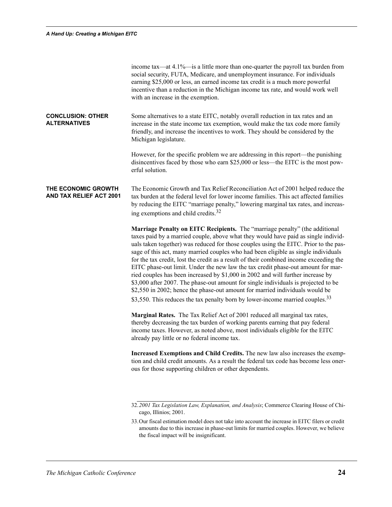|                                                 | income tax—at 4.1%—is a little more than one-quarter the payroll tax burden from<br>social security, FUTA, Medicare, and unemployment insurance. For individuals<br>earning \$25,000 or less, an earned income tax credit is a much more powerful<br>incentive than a reduction in the Michigan income tax rate, and would work well<br>with an increase in the exemption.                                                                                                                                                                                                                                                                                                                                                                                                                                                                                                          |
|-------------------------------------------------|-------------------------------------------------------------------------------------------------------------------------------------------------------------------------------------------------------------------------------------------------------------------------------------------------------------------------------------------------------------------------------------------------------------------------------------------------------------------------------------------------------------------------------------------------------------------------------------------------------------------------------------------------------------------------------------------------------------------------------------------------------------------------------------------------------------------------------------------------------------------------------------|
| <b>CONCLUSION: OTHER</b><br><b>ALTERNATIVES</b> | Some alternatives to a state EITC, notably overall reduction in tax rates and an<br>increase in the state income tax exemption, would make the tax code more family<br>friendly, and increase the incentives to work. They should be considered by the<br>Michigan legislature.                                                                                                                                                                                                                                                                                                                                                                                                                                                                                                                                                                                                     |
|                                                 | However, for the specific problem we are addressing in this report—the punishing<br>disincentives faced by those who earn \$25,000 or less—the EITC is the most pow-<br>erful solution.                                                                                                                                                                                                                                                                                                                                                                                                                                                                                                                                                                                                                                                                                             |
| THE ECONOMIC GROWTH<br>AND TAX RELIEF ACT 2001  | The Economic Growth and Tax Relief Reconciliation Act of 2001 helped reduce the<br>tax burden at the federal level for lower income families. This act affected families<br>by reducing the EITC "marriage penalty," lowering marginal tax rates, and increas-<br>ing exemptions and child credits. <sup>32</sup>                                                                                                                                                                                                                                                                                                                                                                                                                                                                                                                                                                   |
|                                                 | Marriage Penalty on EITC Recipients. The "marriage penalty" (the additional<br>taxes paid by a married couple, above what they would have paid as single individ-<br>uals taken together) was reduced for those couples using the EITC. Prior to the pas-<br>sage of this act, many married couples who had been eligible as single individuals<br>for the tax credit, lost the credit as a result of their combined income exceeding the<br>EITC phase-out limit. Under the new law the tax credit phase-out amount for mar-<br>ried couples has been increased by \$1,000 in 2002 and will further increase by<br>\$3,000 after 2007. The phase-out amount for single individuals is projected to be<br>\$2,550 in 2002; hence the phase-out amount for married individuals would be<br>\$3,550. This reduces the tax penalty born by lower-income married couples. <sup>33</sup> |
|                                                 | Marginal Rates. The Tax Relief Act of 2001 reduced all marginal tax rates,<br>thereby decreasing the tax burden of working parents earning that pay federal<br>income taxes. However, as noted above, most individuals eligible for the EITC<br>already pay little or no federal income tax.                                                                                                                                                                                                                                                                                                                                                                                                                                                                                                                                                                                        |
|                                                 | Increased Exemptions and Child Credits. The new law also increases the exemp-<br>tion and child credit amounts. As a result the federal tax code has become less oner-<br>ous for those supporting children or other dependents.                                                                                                                                                                                                                                                                                                                                                                                                                                                                                                                                                                                                                                                    |
|                                                 | 32.2001 Tax Legislation Law, Explanation, and Analysis; Commerce Clearing House of Chi-<br>cago, Illinios; 2001.                                                                                                                                                                                                                                                                                                                                                                                                                                                                                                                                                                                                                                                                                                                                                                    |

<sup>33.</sup>Our fiscal estimation model does not take into account the increase in EITC filers or credit amounts due to this increase in phase-out limits for married couples. However, we believe the fiscal impact will be insignificant.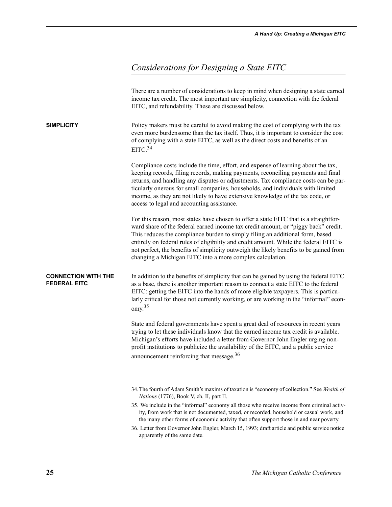## *Considerations for Designing a State EITC*

|                                                   | There are a number of considerations to keep in mind when designing a state earned<br>income tax credit. The most important are simplicity, connection with the federal<br>EITC, and refundability. These are discussed below.                                                                                                                                                                                                                                                                               |
|---------------------------------------------------|--------------------------------------------------------------------------------------------------------------------------------------------------------------------------------------------------------------------------------------------------------------------------------------------------------------------------------------------------------------------------------------------------------------------------------------------------------------------------------------------------------------|
| <b>SIMPLICITY</b>                                 | Policy makers must be careful to avoid making the cost of complying with the tax<br>even more burdensome than the tax itself. Thus, it is important to consider the cost<br>of complying with a state EITC, as well as the direct costs and benefits of an<br>EITC. <sup>34</sup>                                                                                                                                                                                                                            |
|                                                   | Compliance costs include the time, effort, and expense of learning about the tax,<br>keeping records, filing records, making payments, reconciling payments and final<br>returns, and handling any disputes or adjustments. Tax compliance costs can be par-<br>ticularly onerous for small companies, households, and individuals with limited<br>income, as they are not likely to have extensive knowledge of the tax code, or<br>access to legal and accounting assistance.                              |
|                                                   | For this reason, most states have chosen to offer a state EITC that is a straightfor-<br>ward share of the federal earned income tax credit amount, or "piggy back" credit.<br>This reduces the compliance burden to simply filing an additional form, based<br>entirely on federal rules of eligibility and credit amount. While the federal EITC is<br>not perfect, the benefits of simplicity outweigh the likely benefits to be gained from<br>changing a Michigan EITC into a more complex calculation. |
| <b>CONNECTION WITH THE</b><br><b>FEDERAL EITC</b> | In addition to the benefits of simplicity that can be gained by using the federal EITC<br>as a base, there is another important reason to connect a state EITC to the federal<br>EITC: getting the EITC into the hands of more eligible taxpayers. This is particu-<br>larly critical for those not currently working, or are working in the "informal" econ-<br>omy <sup>35</sup>                                                                                                                           |
|                                                   | State and federal governments have spent a great deal of resources in recent years<br>trying to let these individuals know that the earned income tax credit is available.<br>Michigan's efforts have included a letter from Governor John Engler urging non-<br>profit institutions to publicize the availability of the EITC, and a public service<br>announcement reinforcing that message. <sup>36</sup>                                                                                                 |
|                                                   | 34. The fourth of Adam Smith's maxims of taxation is "economy of collection." See Wealth of<br><i>Nations</i> (1776), Book V, ch. II, part II.                                                                                                                                                                                                                                                                                                                                                               |
|                                                   | 35. We include in the "informal" economy all those who receive income from criminal activ-<br>ity, from work that is not documented, taxed, or recorded, household or casual work, and<br>the many other forms of economic activity that often support those in and near poverty.                                                                                                                                                                                                                            |
|                                                   | 36. Letter from Governor John Engler, March 15, 1993; draft article and public service notice<br>apparently of the same date.                                                                                                                                                                                                                                                                                                                                                                                |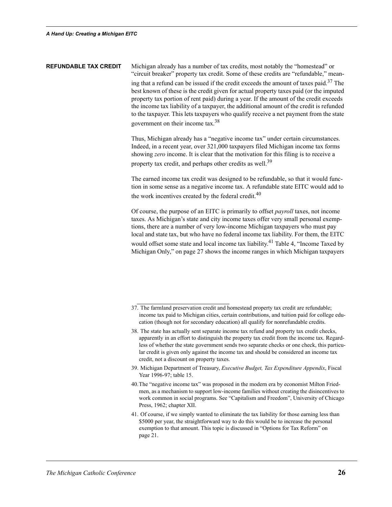**REFUNDABLE TAX CREDIT** Michigan already has a number of tax credits, most notably the "homestead" or "circuit breaker" property tax credit. Some of these credits are "refundable," meaning that a refund can be issued if the credit exceeds the amount of taxes paid.<sup>37</sup> The best known of these is the credit given for actual property taxes paid (or the imputed property tax portion of rent paid) during a year. If the amount of the credit exceeds the income tax liability of a taxpayer, the additional amount of the credit is refunded to the taxpayer. This lets taxpayers who qualify receive a net payment from the state government on their income tax.38

> Thus, Michigan already has a "negative income tax" under certain circumstances. Indeed, in a recent year, over 321,000 taxpayers filed Michigan income tax forms showing *zero* income. It is clear that the motivation for this filing is to receive a property tax credit, and perhaps other credits as well.<sup>39</sup>

The earned income tax credit was designed to be refundable, so that it would function in some sense as a negative income tax. A refundable state EITC would add to the work incentives created by the federal credit. $40$ 

Of course, the purpose of an EITC is primarily to offset *payroll* taxes, not income taxes. As Michigan's state and city income taxes offer very small personal exemptions, there are a number of very low-income Michigan taxpayers who must pay local and state tax, but who have no federal income tax liability. For them, the EITC would offset some state and local income tax liability.<sup>41</sup> Table 4, "Income Taxed by Michigan Only," on page 27 shows the income ranges in which Michigan taxpayers

<sup>37.</sup> The farmland preservation credit and homestead property tax credit are refundable; income tax paid to Michigan cities, certain contributions, and tuition paid for college education (though not for secondary education) all qualify for nonrefundable credits.

<sup>38.</sup> The state has actually sent separate income tax refund and property tax credit checks, apparently in an effort to distinguish the property tax credit from the income tax. Regardless of whether the state government sends two separate checks or one check, this particular credit is given only against the income tax and should be considered an income tax credit, not a discount on property taxes.

<sup>39.</sup> Michigan Department of Treasury, *Executive Budget, Tax Expenditure Appendix*, Fiscal Year 1996-97; table 15.

<sup>40.</sup>The "negative income tax" was proposed in the modern era by economist Milton Friedmen, as a mechanism to support low-income families without creating the disincentives to work common in social programs. See "Capitalism and Freedom", University of Chicago Press, 1962; chapter XII.

<sup>41.</sup> Of course, if we simply wanted to eliminate the tax liability for those earning less than \$5000 per year, the straightforward way to do this would be to increase the personal exemption to that amount. This topic is discussed in "Options for Tax Reform" on page 21.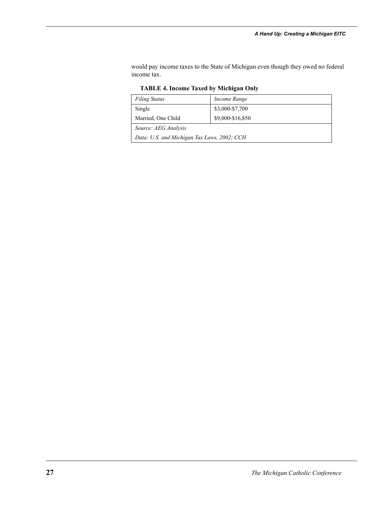would pay income taxes to the State of Michigan even though they owed no federal income tax.

| <b>Filing Status</b>                        | Income Range     |  |
|---------------------------------------------|------------------|--|
| Single                                      | \$3,000-\$7,700  |  |
| Married, One Child                          | \$9,000-\$16,850 |  |
| Source: AEG Analysis                        |                  |  |
| Data: U.S. and Michigan Tax Laws, 2002; CCH |                  |  |

**TABLE 4. Income Taxed by Michigan Only**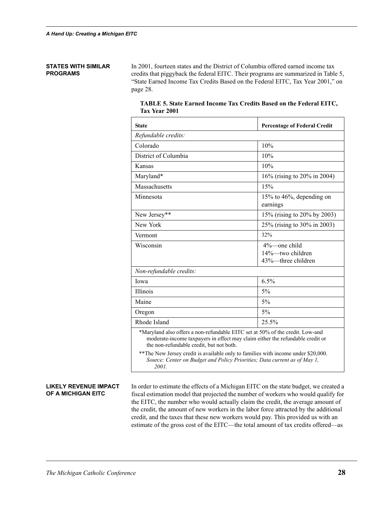#### **STATES WITH SIMILAR PROGRAMS**

In 2001, fourteen states and the District of Columbia offered earned income tax credits that piggyback the federal EITC. Their programs are summarized in Table 5, "State Earned Income Tax Credits Based on the Federal EITC, Tax Year 2001," on page 28.

| State                                                                                                                                                                                                                                                                                            | <b>Percentage of Federal Credit</b>                       |  |
|--------------------------------------------------------------------------------------------------------------------------------------------------------------------------------------------------------------------------------------------------------------------------------------------------|-----------------------------------------------------------|--|
| Refundable credits:                                                                                                                                                                                                                                                                              |                                                           |  |
| Colorado                                                                                                                                                                                                                                                                                         | 10%                                                       |  |
| District of Columbia                                                                                                                                                                                                                                                                             | 10%                                                       |  |
| Kansas                                                                                                                                                                                                                                                                                           | 10%                                                       |  |
| Maryland*                                                                                                                                                                                                                                                                                        | 16% (rising to 20% in 2004)                               |  |
| Massachusetts                                                                                                                                                                                                                                                                                    | 15%                                                       |  |
| Minnesota                                                                                                                                                                                                                                                                                        | 15% to $46%$ , depending on<br>earnings                   |  |
| New Jersey**                                                                                                                                                                                                                                                                                     | 15% (rising to 20% by 2003)                               |  |
| New York                                                                                                                                                                                                                                                                                         | 25% (rising to 30% in 2003)                               |  |
| Vermont                                                                                                                                                                                                                                                                                          | 32%                                                       |  |
| Wisconsin                                                                                                                                                                                                                                                                                        | $4\%$ one child<br>14%—two children<br>43%—three children |  |
| Non-refundable credits:                                                                                                                                                                                                                                                                          |                                                           |  |
| Iowa                                                                                                                                                                                                                                                                                             | 6.5%                                                      |  |
| Illinois                                                                                                                                                                                                                                                                                         | $5\%$                                                     |  |
| Maine                                                                                                                                                                                                                                                                                            | $5\%$                                                     |  |
| Oregon                                                                                                                                                                                                                                                                                           | 5%                                                        |  |
| Rhode Island                                                                                                                                                                                                                                                                                     | 25.5%                                                     |  |
| *Maryland also offers a non-refundable EITC set at 50% of the credit. Low-and<br>moderate-income taxpayers in effect may claim either the refundable credit or<br>the non-refundable credit, but not both.<br>** The New Jersey credit is available only to families with income under \$20,000. |                                                           |  |
| Source: Center on Budget and Policy Priorities; Data current as of May 1,<br>2001.                                                                                                                                                                                                               |                                                           |  |

| TABLE 5. State Earned Income Tax Credits Based on the Federal EITC, |  |  |
|---------------------------------------------------------------------|--|--|
| Tax Year 2001                                                       |  |  |

#### **LIKELY REVENUE IMPACT OF A MICHIGAN EITC**

In order to estimate the effects of a Michigan EITC on the state budget, we created a fiscal estimation model that projected the number of workers who would qualify for the EITC, the number who would actually claim the credit, the average amount of the credit, the amount of new workers in the labor force attracted by the additional credit, and the taxes that these new workers would pay. This provided us with an estimate of the gross cost of the EITC—the total amount of tax credits offered—as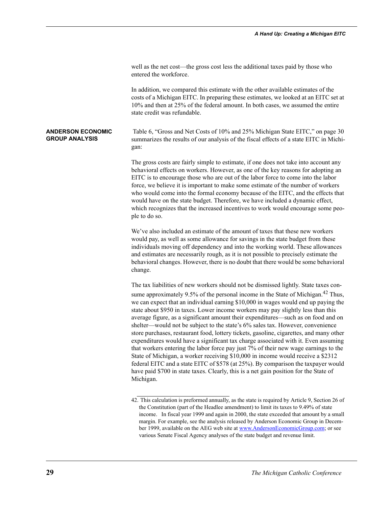| well as the net cost—the gross cost less the additional taxes paid by those who |  |
|---------------------------------------------------------------------------------|--|
| entered the workforce.                                                          |  |

In addition, we compared this estimate with the other available estimates of the costs of a Michigan EITC. In preparing these estimates, we looked at an EITC set at 10% and then at 25% of the federal amount. In both cases, we assumed the entire state credit was refundable.

**ANDERSON ECONOMIC GROUP ANALYSIS** Table 6, "Gross and Net Costs of 10% and 25% Michigan State EITC," on page 30 summarizes the results of our analysis of the fiscal effects of a state EITC in Michigan:

> The gross costs are fairly simple to estimate, if one does not take into account any behavioral effects on workers. However, as one of the key reasons for adopting an EITC is to encourage those who are out of the labor force to come into the labor force, we believe it is important to make some estimate of the number of workers who would come into the formal economy because of the EITC, and the effects that would have on the state budget. Therefore, we have included a dynamic effect, which recognizes that the increased incentives to work would encourage some people to do so.

> We've also included an estimate of the amount of taxes that these new workers would pay, as well as some allowance for savings in the state budget from these individuals moving off dependency and into the working world. These allowances and estimates are necessarily rough, as it is not possible to precisely estimate the behavioral changes. However, there is no doubt that there would be some behavioral change.

> The tax liabilities of new workers should not be dismissed lightly. State taxes consume approximately 9.5% of the personal income in the State of Michigan.<sup>42</sup> Thus, we can expect that an individual earning \$10,000 in wages would end up paying the state about \$950 in taxes. Lower income workers may pay slightly less than this average figure, as a significant amount their expenditures—such as on food and on shelter—would not be subject to the state's 6% sales tax. However, convenience store purchases, restaurant food, lottery tickets, gasoline, cigarettes, and many other expenditures would have a significant tax charge associated with it. Even assuming that workers entering the labor force pay just 7% of their new wage earnings to the State of Michigan, a worker receiving \$10,000 in income would receive a \$2312 federal EITC and a state EITC of \$578 (at 25%). By comparison the taxpayer would have paid \$700 in state taxes. Clearly, this is a net gain position for the State of Michigan.

<sup>42.</sup> This calculation is preformed annually, as the state is required by Article 9, Section 26 of the Constitution (part of the Headlee amendment) to limit its taxes to 9.49% of state income. In fiscal year 1999 and again in 2000, the state exceeded that amount by a small margin. For example, see the analysis released by Anderson Economic Group in December 1999, available on the AEG web site at www.AndersonEconomicGroup.com; or see various Senate Fiscal Agency analyses of the state budget and revenue limit.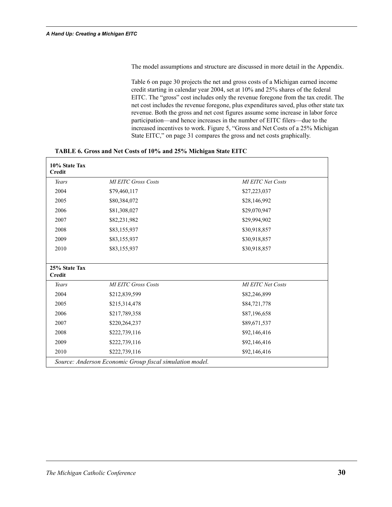The model assumptions and structure are discussed in more detail in the Appendix.

Table 6 on page 30 projects the net and gross costs of a Michigan earned income credit starting in calendar year 2004, set at 10% and 25% shares of the federal EITC. The "gross" cost includes only the revenue foregone from the tax credit. The net cost includes the revenue foregone, plus expenditures saved, plus other state tax revenue. Both the gross and net cost figures assume some increase in labor force participation—and hence increases in the number of EITC filers—due to the increased incentives to work. Figure 5, "Gross and Net Costs of a 25% Michigan State EITC," on page 31 compares the gross and net costs graphically.

| 10% State Tax<br>Credit |                                                          |                          |
|-------------------------|----------------------------------------------------------|--------------------------|
| Years                   | <b>MI EITC Gross Costs</b>                               | <b>MI EITC Net Costs</b> |
| 2004                    | \$79,460,117                                             | \$27,223,037             |
| 2005                    | \$80,384,072                                             | \$28,146,992             |
| 2006                    | \$81,308,027                                             | \$29,070,947             |
| 2007                    | \$82,231,982                                             | \$29,994,902             |
| 2008                    | \$83,155,937                                             | \$30,918,857             |
| 2009                    | \$83,155,937                                             | \$30,918,857             |
| 2010                    | \$83,155,937                                             | \$30,918,857             |
|                         |                                                          |                          |
| 25% State Tax           |                                                          |                          |
| <b>Credit</b>           |                                                          |                          |
| Years                   | <b>MI EITC Gross Costs</b>                               | <b>MI EITC Net Costs</b> |
| 2004                    | \$212,839,599                                            | \$82,246,899             |
| 2005                    | \$215,314,478                                            | \$84,721,778             |
| 2006                    | \$217,789,358                                            | \$87,196,658             |
| 2007                    | \$220,264,237                                            | \$89,671,537             |
| 2008                    | \$222,739,116                                            | \$92,146,416             |
| 2009                    | \$222,739,116                                            | \$92,146,416             |
| 2010                    | \$222,739,116                                            | \$92,146,416             |
|                         | Source: Anderson Economic Group fiscal simulation model. |                          |

**TABLE 6. Gross and Net Costs of 10% and 25% Michigan State EITC**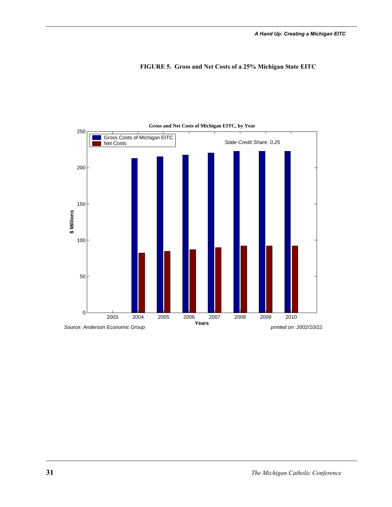



#### **Gross and Net Costs of Michigan EITC, by Year**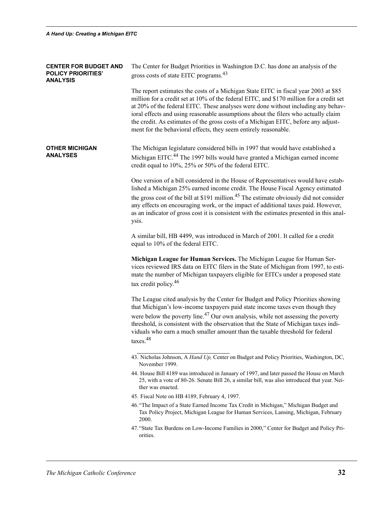| <b>CENTER FOR BUDGET AND</b><br><b>POLICY PRIORITIES'</b><br><b>ANALYSIS</b> | The Center for Budget Priorities in Washington D.C. has done an analysis of the<br>gross costs of state EITC programs. <sup>43</sup>                                                                                                                                                                                                                                                                                                                                                                               |
|------------------------------------------------------------------------------|--------------------------------------------------------------------------------------------------------------------------------------------------------------------------------------------------------------------------------------------------------------------------------------------------------------------------------------------------------------------------------------------------------------------------------------------------------------------------------------------------------------------|
|                                                                              | The report estimates the costs of a Michigan State EITC in fiscal year 2003 at \$85<br>million for a credit set at 10% of the federal EITC, and \$170 million for a credit set<br>at 20% of the federal EITC. These analyses were done without including any behav-<br>ioral effects and using reasonable assumptions about the filers who actually claim<br>the credit. As estimates of the gross costs of a Michigan EITC, before any adjust-<br>ment for the behavioral effects, they seem entirely reasonable. |
| <b>OTHER MICHIGAN</b><br><b>ANALYSES</b>                                     | The Michigan legislature considered bills in 1997 that would have established a<br>Michigan EITC. <sup>44</sup> The 1997 bills would have granted a Michigan earned income<br>credit equal to 10%, 25% or 50% of the federal EITC.                                                                                                                                                                                                                                                                                 |
|                                                                              | One version of a bill considered in the House of Representatives would have estab-<br>lished a Michigan 25% earned income credit. The House Fiscal Agency estimated<br>the gross cost of the bill at \$191 million. <sup>45</sup> The estimate obviously did not consider<br>any effects on encouraging work, or the impact of additional taxes paid. However,<br>as an indicator of gross cost it is consistent with the estimates presented in this anal-<br>ysis.                                               |
|                                                                              | A similar bill, HB 4499, was introduced in March of 2001. It called for a credit<br>equal to 10% of the federal EITC.                                                                                                                                                                                                                                                                                                                                                                                              |
|                                                                              | Michigan League for Human Services. The Michigan League for Human Ser-<br>vices reviewed IRS data on EITC filers in the State of Michigan from 1997, to esti-<br>mate the number of Michigan taxpayers eligible for EITCs under a proposed state<br>tax credit policy. <sup>46</sup>                                                                                                                                                                                                                               |
|                                                                              | The League cited analysis by the Center for Budget and Policy Priorities showing<br>that Michigan's low-income taxpayers paid state income taxes even though they                                                                                                                                                                                                                                                                                                                                                  |
|                                                                              | were below the poverty line. <sup>47</sup> Our own analysis, while not assessing the poverty<br>threshold, is consistent with the observation that the State of Michigan taxes indi-<br>viduals who earn a much smaller amount than the taxable threshold for federal<br>taxes. <sup>48</sup>                                                                                                                                                                                                                      |
|                                                                              | 43. Nicholas Johnson, A Hand Up, Center on Budget and Policy Priorities, Washington, DC,<br>November 1999.                                                                                                                                                                                                                                                                                                                                                                                                         |
|                                                                              | 44. House Bill 4189 was introduced in January of 1997, and later passed the House on March<br>25, with a vote of 80-26. Senate Bill 26, a similar bill, was also introduced that year. Nei-<br>ther was enacted.                                                                                                                                                                                                                                                                                                   |
|                                                                              | 45. Fiscal Note on HB 4189, February 4, 1997.                                                                                                                                                                                                                                                                                                                                                                                                                                                                      |
|                                                                              | 46. "The Impact of a State Earned Income Tax Credit in Michigan," Michigan Budget and<br>Tax Policy Project, Michigan League for Human Services, Lansing, Michigan, February<br>2000.                                                                                                                                                                                                                                                                                                                              |
|                                                                              | 47. "State Tax Burdens on Low-Income Families in 2000," Center for Budget and Policy Pri-<br>orities.                                                                                                                                                                                                                                                                                                                                                                                                              |
|                                                                              |                                                                                                                                                                                                                                                                                                                                                                                                                                                                                                                    |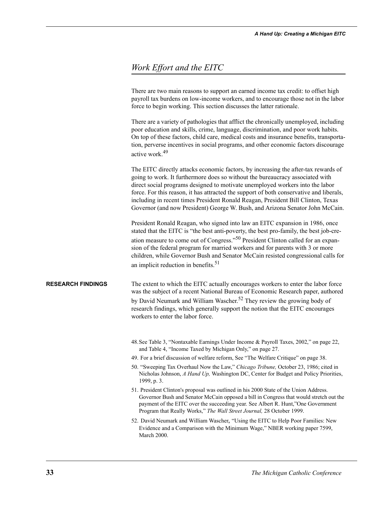#### *Work Effort and the EITC*

There are two main reasons to support an earned income tax credit: to offset high payroll tax burdens on low-income workers, and to encourage those not in the labor force to begin working. This section discusses the latter rationale.

There are a variety of pathologies that afflict the chronically unemployed, including poor education and skills, crime, language, discrimination, and poor work habits. On top of these factors, child care, medical costs and insurance benefits, transportation, perverse incentives in social programs, and other economic factors discourage active work.49

The EITC directly attacks economic factors, by increasing the after-tax rewards of going to work. It furthermore does so without the bureaucracy associated with direct social programs designed to motivate unemployed workers into the labor force. For this reason, it has attracted the support of both conservative and liberals, including in recent times President Ronald Reagan, President Bill Clinton, Texas Governor (and now President) George W. Bush, and Arizona Senator John McCain.

President Ronald Reagan, who signed into law an EITC expansion in 1986, once stated that the EITC is "the best anti-poverty, the best pro-family, the best job-creation measure to come out of Congress."50 President Clinton called for an expansion of the federal program for married workers and for parents with 3 or more children, while Governor Bush and Senator McCain resisted congressional calls for an implicit reduction in benefits.<sup>51</sup>

**RESEARCH FINDINGS** The extent to which the EITC actually encourages workers to enter the labor force was the subject of a recent National Bureau of Economic Research paper, authored by David Neumark and William Wascher.<sup>52</sup> They review the growing body of research findings, which generally support the notion that the EITC encourages workers to enter the labor force.

- 48.See Table 3, "Nontaxable Earnings Under Income & Payroll Taxes, 2002," on page 22, and Table 4, "Income Taxed by Michigan Only," on page 27.
- 49. For a brief discussion of welfare reform, See "The Welfare Critique" on page 38.
- 50. "Sweeping Tax Overhaul Now the Law," *Chicago Tribune,* October 23, 1986; cited in Nicholas Johnson, *A Hand Up,* Washington DC, Center for Budget and Policy Priorities, 1999, p. 3.
- 51. President Clinton's proposal was outlined in his 2000 State of the Union Address. Governor Bush and Senator McCain opposed a bill in Congress that would stretch out the payment of the EITC over the succeeding year. See Albert R. Hunt,"One Government Program that Really Works," *The Wall Street Journal,* 28 October 1999.
- 52. David Neumark and William Wascher, "Using the EITC to Help Poor Families: New Evidence and a Comparison with the Minimum Wage," NBER working paper 7599, March 2000.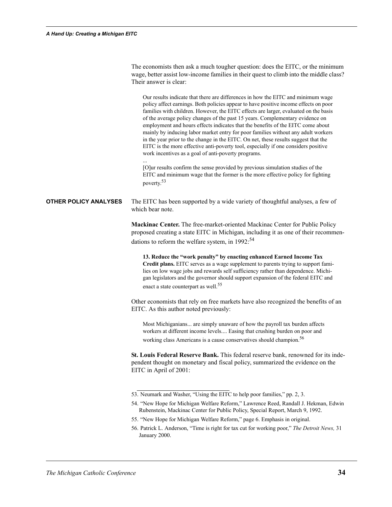|                              | The economists then ask a much tougher question: does the EITC, or the minimum<br>wage, better assist low-income families in their quest to climb into the middle class?<br>Their answer is clear:<br>Our results indicate that there are differences in how the EITC and minimum wage<br>policy affect earnings. Both policies appear to have positive income effects on poor<br>families with children. However, the EITC effects are larger, evaluated on the basis<br>of the average policy changes of the past 15 years. Complementary evidence on<br>employment and hours effects indicates that the benefits of the EITC come about<br>mainly by inducing labor market entry for poor families without any adult workers<br>in the year prior to the change in the EITC. On net, these results suggest that the<br>EITC is the more effective anti-poverty tool, especially if one considers positive<br>work incentives as a goal of anti-poverty programs. |
|------------------------------|---------------------------------------------------------------------------------------------------------------------------------------------------------------------------------------------------------------------------------------------------------------------------------------------------------------------------------------------------------------------------------------------------------------------------------------------------------------------------------------------------------------------------------------------------------------------------------------------------------------------------------------------------------------------------------------------------------------------------------------------------------------------------------------------------------------------------------------------------------------------------------------------------------------------------------------------------------------------|
|                              | [O]ur results confirm the sense provided by previous simulation studies of the<br>EITC and minimum wage that the former is the more effective policy for fighting<br>poverty. <sup>53</sup>                                                                                                                                                                                                                                                                                                                                                                                                                                                                                                                                                                                                                                                                                                                                                                         |
| <b>OTHER POLICY ANALYSES</b> | The EITC has been supported by a wide variety of thoughtful analyses, a few of<br>which bear note.                                                                                                                                                                                                                                                                                                                                                                                                                                                                                                                                                                                                                                                                                                                                                                                                                                                                  |
|                              | Mackinac Center. The free-market-oriented Mackinac Center for Public Policy                                                                                                                                                                                                                                                                                                                                                                                                                                                                                                                                                                                                                                                                                                                                                                                                                                                                                         |
|                              | proposed creating a state EITC in Michigan, including it as one of their recommen-<br>dations to reform the welfare system, in 1992: <sup>54</sup>                                                                                                                                                                                                                                                                                                                                                                                                                                                                                                                                                                                                                                                                                                                                                                                                                  |
|                              | 13. Reduce the "work penalty" by enacting enhanced Earned Income Tax<br>Credit plans. EITC serves as a wage supplement to parents trying to support fami-<br>lies on low wage jobs and rewards self sufficiency rather than dependence. Michi-<br>gan legislators and the governor should support expansion of the federal EITC and<br>enact a state counterpart as well. <sup>55</sup>                                                                                                                                                                                                                                                                                                                                                                                                                                                                                                                                                                             |
|                              | Other economists that rely on free markets have also recognized the benefits of an<br>EITC. As this author noted previously:                                                                                                                                                                                                                                                                                                                                                                                                                                                                                                                                                                                                                                                                                                                                                                                                                                        |
|                              | Most Michiganians are simply unaware of how the payroll tax burden affects<br>workers at different income levels Easing that crushing burden on poor and<br>working class Americans is a cause conservatives should champion. <sup>56</sup>                                                                                                                                                                                                                                                                                                                                                                                                                                                                                                                                                                                                                                                                                                                         |
|                              | St. Louis Federal Reserve Bank. This federal reserve bank, renowned for its inde-<br>pendent thought on monetary and fiscal policy, summarized the evidence on the<br>EITC in April of 2001:                                                                                                                                                                                                                                                                                                                                                                                                                                                                                                                                                                                                                                                                                                                                                                        |
|                              | 53. Neumark and Washer, "Using the EITC to help poor families," pp. 2, 3.<br>54. "New Hope for Michigan Welfare Reform," Lawrence Reed, Randall J. Hekman, Edwin<br>Rubenstein, Mackinac Center for Public Policy, Special Report, March 9, 1992.<br>55. "New Hope for Michigan Welfare Reform," page 6. Emphasis in original.<br>56. Patrick L. Anderson, "Time is right for tax cut for working poor," The Detroit News, 31<br>January 2000.                                                                                                                                                                                                                                                                                                                                                                                                                                                                                                                      |
|                              |                                                                                                                                                                                                                                                                                                                                                                                                                                                                                                                                                                                                                                                                                                                                                                                                                                                                                                                                                                     |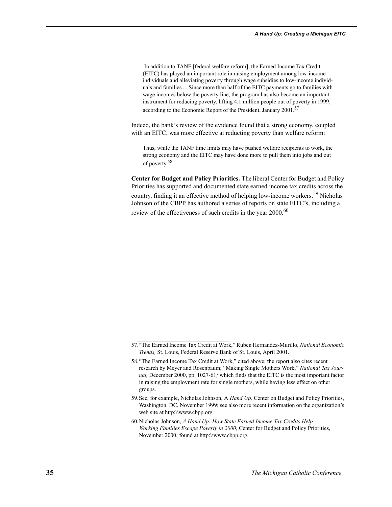In addition to TANF [federal welfare reform], the Earned Income Tax Credit (EITC) has played an important role in raising employment among low-income individuals and alleviating poverty through wage subsidies to low-income individuals and families.... Since more than half of the EITC payments go to families with wage incomes below the poverty line, the program has also become an important instrument for reducing poverty, lifting 4.1 million people out of poverty in 1999, according to the Economic Report of the President, January 2001.57

Indeed, the bank's review of the evidence found that a strong economy, coupled with an EITC, was more effective at reducting poverty than welfare reform:

Thus, while the TANF time limits may have pushed welfare recipients to work, the strong economy and the EITC may have done more to pull them into jobs and out of poverty.<sup>58</sup>

**Center for Budget and Policy Priorities.** The liberal Center for Budget and Policy Priorities has supported and documented state earned income tax credits across the country, finding it an effective method of helping low-income workers.<sup>59</sup> Nicholas Johnson of the CBPP has authored a series of reports on state EITC's, including a review of the effectiveness of such credits in the year 2000.<sup>60</sup>

- 59.See, for example, Nicholas Johnson, A *Hand Up,* Center on Budget and Policy Priorities, Washington, DC, November 1999; see also more recent information on the organization's web site at http:\\www.cbpp.org
- 60.Nicholas Johnson, *A Hand Up: How State Earned Income Tax Credits Help Working Families Escape Poverty in 2000,* Center for Budget and Policy Priorities, November 2000; found at http:\\www.cbpp.org.

<sup>57.&</sup>quot;The Earned Income Tax Credit at Work," Ruben Hernandez-Murillo, *National Economic Trends,* St. Louis, Federal Reserve Bank of St. Louis, April 2001.

<sup>58.&</sup>quot;The Earned Income Tax Credit at Work," cited above; the report also cites recent research by Meyer and Rosenbaum; "Making Single Mothers Work," *National Tax Journal,* December 2000, pp. 1027-61*;* which finds that the EITC is the most important factor in raising the employment rate for single mothers, while having less effect on other groups.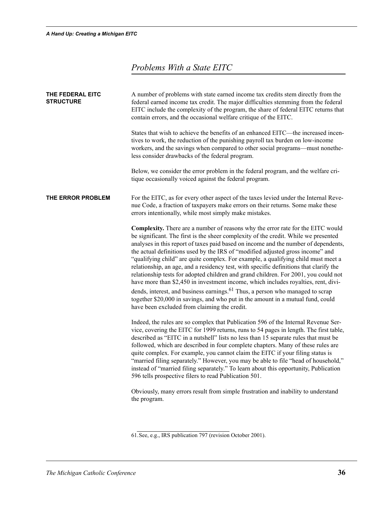## *Problems With a State EITC*

| THE FEDERAL EITC<br><b>STRUCTURE</b> | A number of problems with state earned income tax credits stem directly from the<br>federal earned income tax credit. The major difficulties stemming from the federal<br>EITC include the complexity of the program, the share of federal EITC returns that<br>contain errors, and the occasional welfare critique of the EITC.<br>States that wish to achieve the benefits of an enhanced EITC-the increased incen-                                                                                                                                                                                                                                                                                                                                                                                                                                                                                                                       |
|--------------------------------------|---------------------------------------------------------------------------------------------------------------------------------------------------------------------------------------------------------------------------------------------------------------------------------------------------------------------------------------------------------------------------------------------------------------------------------------------------------------------------------------------------------------------------------------------------------------------------------------------------------------------------------------------------------------------------------------------------------------------------------------------------------------------------------------------------------------------------------------------------------------------------------------------------------------------------------------------|
|                                      | tives to work, the reduction of the punishing payroll tax burden on low-income<br>workers, and the savings when compared to other social programs—must nonethe-<br>less consider drawbacks of the federal program.                                                                                                                                                                                                                                                                                                                                                                                                                                                                                                                                                                                                                                                                                                                          |
|                                      | Below, we consider the error problem in the federal program, and the welfare cri-<br>tique occasionally voiced against the federal program.                                                                                                                                                                                                                                                                                                                                                                                                                                                                                                                                                                                                                                                                                                                                                                                                 |
| THE ERROR PROBLEM                    | For the EITC, as for every other aspect of the taxes levied under the Internal Reve-<br>nue Code, a fraction of taxpayers make errors on their returns. Some make these<br>errors intentionally, while most simply make mistakes.                                                                                                                                                                                                                                                                                                                                                                                                                                                                                                                                                                                                                                                                                                           |
|                                      | Complexity. There are a number of reasons why the error rate for the EITC would<br>be significant. The first is the sheer complexity of the credit. While we presented<br>analyses in this report of taxes paid based on income and the number of dependents,<br>the actual definitions used by the IRS of "modified adjusted gross income" and<br>"qualifying child" are quite complex. For example, a qualifying child must meet a<br>relationship, an age, and a residency test, with specific definitions that clarify the<br>relationship tests for adopted children and grand children. For 2001, you could not<br>have more than \$2,450 in investment income, which includes royalties, rent, divi-<br>dends, interest, and business earnings. <sup>61</sup> Thus, a person who managed to scrap<br>together \$20,000 in savings, and who put in the amount in a mutual fund, could<br>have been excluded from claiming the credit. |
|                                      | Indeed, the rules are so complex that Publication 596 of the Internal Revenue Ser-<br>vice, covering the EITC for 1999 returns, runs to 54 pages in length. The first table,<br>described as "EITC in a nutshell" lists no less than 15 separate rules that must be<br>followed, which are described in four complete chapters. Many of these rules are<br>quite complex. For example, you cannot claim the EITC if your filing status is<br>"married filing separately." However, you may be able to file "head of household,"<br>instead of "married filing separately." To learn about this opportunity, Publication<br>596 tells prospective filers to read Publication 501.                                                                                                                                                                                                                                                            |
|                                      | Obviously, many errors result from simple frustration and inability to understand<br>the program.                                                                                                                                                                                                                                                                                                                                                                                                                                                                                                                                                                                                                                                                                                                                                                                                                                           |

<sup>61.</sup>See, e.g., IRS publication 797 (revision October 2001).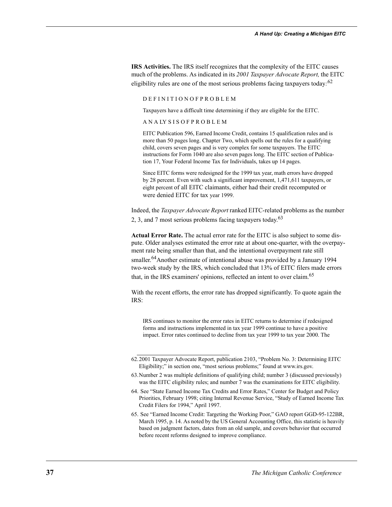**IRS Activities.** The IRS itself recognizes that the complexity of the EITC causes much of the problems. As indicated in its *2001 Taxpayer Advocate Report,* the EITC eligibility rules are one of the most serious problems facing taxpayers today*:* 62

#### D E F I N I T I O N O F P R O B L E M

Taxpayers have a difficult time determining if they are eligible for the EITC.

A N A LY S I S O F P R O B L E M

EITC Publication 596, Earned Income Credit, contains 15 qualification rules and is more than 50 pages long. Chapter Two, which spells out the rules for a qualifying child, covers seven pages and is very complex for some taxpayers. The EITC instructions for Form 1040 are also seven pages long. The EITC section of Publication 17, Your Federal Income Tax for Individuals, takes up 14 pages.

Since EITC forms were redesigned for the 1999 tax year, math errors have dropped by 28 percent. Even with such a significant improvement, 1,471,611 taxpayers, or eight percent of all EITC claimants, either had their credit recomputed or were denied EITC for tax year 1999.

Indeed, the *Taxpayer Advocate Report* ranked EITC-related problems as the number 2, 3, and 7 most serious problems facing taxpayers today.  $63$ 

**Actual Error Rate.** The actual error rate for the EITC is also subject to some dispute. Older analyses estimated the error rate at about one-quarter, with the overpayment rate being smaller than that, and the intentional overpayment rate still

smaller.<sup>64</sup>Another estimate of intentional abuse was provided by a January 1994 two-week study by the IRS, which concluded that 13% of EITC filers made errors that, in the IRS examiners' opinions, reflected an intent to over claim.<sup>65</sup>

With the recent efforts, the error rate has dropped significantly. To quote again the IRS:

IRS continues to monitor the error rates in EITC returns to determine if redesigned forms and instructions implemented in tax year 1999 continue to have a positive impact. Error rates continued to decline from tax year 1999 to tax year 2000. The

<sup>62.2001</sup> Taxpayer Advocate Report, publication 2103, "Problem No. 3: Determining EITC Eligibility;" in section one, "most serious problems;" found at www.irs.gov.

<sup>63.</sup>Number 2 was multiple definitions of qualifying child; number 3 (discussed previously) was the EITC eligibility rules; and number 7 was the examinations for EITC eligibility.

<sup>64.</sup> See "State Earned Income Tax Credits and Error Rates," Center for Budget and Policy Priorities, February 1998; citing Internal Revenue Service, "Study of Earned Income Tax Credit Filers for 1994," April 1997.

<sup>65.</sup> See "Earned Income Credit: Targeting the Working Poor," GAO report GGD-95-122BR, March 1995, p. 14. As noted by the US General Accounting Office, this statistic is heavily based on judgment factors, dates from an old sample, and covers behavior that occurred before recent reforms designed to improve compliance.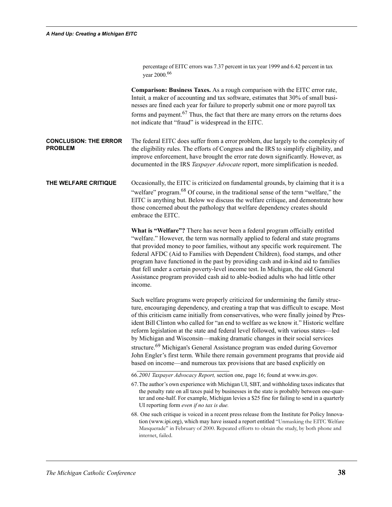|                                                | percentage of EITC errors was 7.37 percent in tax year 1999 and 6.42 percent in tax<br>year 2000. <sup>66</sup>                                                                                                                                                                                                                                                                                                                                                                                                                                                                                                                                                                                                                                                                              |
|------------------------------------------------|----------------------------------------------------------------------------------------------------------------------------------------------------------------------------------------------------------------------------------------------------------------------------------------------------------------------------------------------------------------------------------------------------------------------------------------------------------------------------------------------------------------------------------------------------------------------------------------------------------------------------------------------------------------------------------------------------------------------------------------------------------------------------------------------|
|                                                | <b>Comparison: Business Taxes.</b> As a rough comparison with the EITC error rate,<br>Intuit, a maker of accounting and tax software, estimates that 30% of small busi-<br>nesses are fined each year for failure to properly submit one or more payroll tax<br>forms and payment. <sup>67</sup> Thus, the fact that there are many errors on the returns does<br>not indicate that "fraud" is widespread in the EITC.                                                                                                                                                                                                                                                                                                                                                                       |
| <b>CONCLUSION: THE ERROR</b><br><b>PROBLEM</b> | The federal EITC does suffer from a error problem, due largely to the complexity of<br>the eligibility rules. The efforts of Congress and the IRS to simplify eligibility, and<br>improve enforcement, have brought the error rate down significantly. However, as<br>documented in the IRS Taxpayer Advocate report, more simplification is needed.                                                                                                                                                                                                                                                                                                                                                                                                                                         |
| THE WELFARE CRITIQUE                           | Occasionally, the EITC is criticized on fundamental grounds, by claiming that it is a<br>"welfare" program. <sup>68</sup> Of course, in the traditional sense of the term "welfare," the<br>EITC is anything but. Below we discuss the welfare critique, and demonstrate how<br>those concerned about the pathology that welfare dependency creates should<br>embrace the EITC.                                                                                                                                                                                                                                                                                                                                                                                                              |
|                                                | What is "Welfare"? There has never been a federal program officially entitled<br>"welfare." However, the term was normally applied to federal and state programs<br>that provided money to poor families, without any specific work requirement. The<br>federal AFDC (Aid to Families with Dependent Children), food stamps, and other<br>program have functioned in the past by providing cash and in-kind aid to families<br>that fell under a certain poverty-level income test. In Michigan, the old General<br>Assistance program provided cash aid to able-bodied adults who had little other<br>income.                                                                                                                                                                               |
|                                                | Such welfare programs were properly criticized for undermining the family struc-<br>ture, encouraging dependency, and creating a trap that was difficult to escape. Most<br>of this criticism came initially from conservatives, who were finally joined by Pres-<br>ident Bill Clinton who called for "an end to welfare as we know it." Historic welfare<br>reform legislation at the state and federal level followed, with various states-led<br>by Michigan and Wisconsin-making dramatic changes in their social services<br>structure. <sup>69</sup> Michigan's General Assistance program was ended during Governor<br>John Engler's first term. While there remain government programs that provide aid<br>based on income—and numerous tax provisions that are based explicitly on |
|                                                | 66.2001 Taxpayer Advocacy Report, section one, page 16; found at www.irs.gov.<br>67. The author's own experience with Michigan UI, SBT, and withholding taxes indicates that<br>the penalty rate on all taxes paid by businesses in the state is probably between one-quar-<br>ter and one-half. For example, Michigan levies a \$25 fine for failing to send in a quarterly<br>UI reporting form even if no tax is due.                                                                                                                                                                                                                                                                                                                                                                     |
|                                                | 68. One such critique is voiced in a recent press release from the Institute for Policy Innova-<br>tion (www.ipi.org), which may have issued a report entitled "Unmasking the EITC Welfare<br>Masquerade" in February of 2000. Repeated efforts to obtain the study, by both phone and<br>internet, failed.                                                                                                                                                                                                                                                                                                                                                                                                                                                                                  |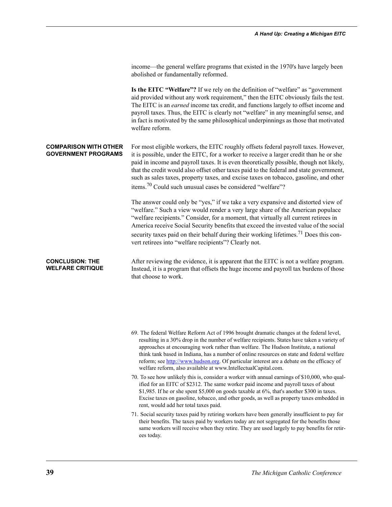income—the general welfare programs that existed in the 1970's have largely been abolished or fundamentally reformed.

**Is the EITC "Welfare"?** If we rely on the definition of "welfare" as "government aid provided without any work requirement," then the EITC obviously fails the test. The EITC is an *earned* income tax credit, and functions largely to offset income and payroll taxes. Thus, the EITC is clearly not "welfare" in any meaningful sense, and in fact is motivated by the same philosophical underpinnings as those that motivated welfare reform.

**COMPARISON WITH OTHER GOVERNMENT PROGRAMS** For most eligible workers, the EITC roughly offsets federal payroll taxes. However, it is possible, under the EITC, for a worker to receive a larger credit than he or she paid in income and payroll taxes. It is even theoretically possible, though not likely, that the credit would also offset other taxes paid to the federal and state government, such as sales taxes, property taxes, and excise taxes on tobacco, gasoline, and other items.70 Could such unusual cases be considered "welfare"?

> The answer could only be "yes," if we take a very expansive and distorted view of "welfare." Such a view would render a very large share of the American populace "welfare recipients." Consider, for a moment, that virtually all current retirees in America receive Social Security benefits that exceed the invested value of the social security taxes paid on their behalf during their working lifetimes.<sup>71</sup> Does this convert retirees into "welfare recipients"? Clearly not.

**CONCLUSION: THE WELFARE CRITIQUE** After reviewing the evidence, it is apparent that the EITC is not a welfare program. Instead, it is a program that offsets the huge income and payroll tax burdens of those that choose to work.

- 69. The federal Welfare Reform Act of 1996 brought dramatic changes at the federal level, resulting in a 30% drop in the number of welfare recipients. States have taken a variety of approaches at encouraging work rather than welfare. The Hudson Institute, a national think tank based in Indiana, has a number of online resources on state and federal welfare reform; see http://www.hudson.org. Of particular interest are a debate on the efficacy of welfare reform, also available at www.IntellectualCapital.com.
- 70. To see how unlikely this is, consider a worker with annual earnings of \$10,000, who qualified for an EITC of \$2312. The same worker paid income and payroll taxes of about \$1,985. If he or she spent \$5,000 on goods taxable at 6%, that's another \$300 in taxes. Excise taxes on gasoline, tobacco, and other goods, as well as property taxes embedded in rent, would add her total taxes paid.
- 71. Social security taxes paid by retiring workers have been generally insufficient to pay for their benefits. The taxes paid by workers today are not segregated for the benefits those same workers will receive when they retire. They are used largely to pay benefits for retirees today.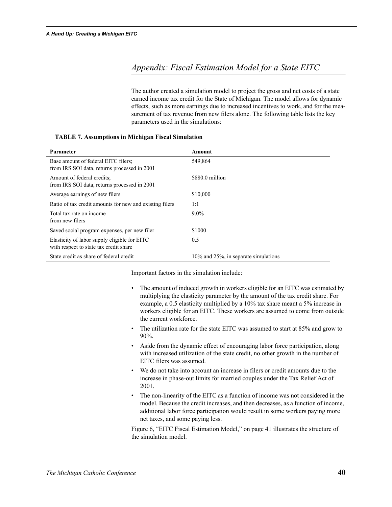#### *Appendix: Fiscal Estimation Model for a State EITC*

The author created a simulation model to project the gross and net costs of a state earned income tax credit for the State of Michigan. The model allows for dynamic effects, such as more earnings due to increased incentives to work, and for the measurement of tax revenue from new filers alone. The following table lists the key parameters used in the simulations:

| Parameter                                                                              | Amount                                      |
|----------------------------------------------------------------------------------------|---------------------------------------------|
| Base amount of federal EITC filers;<br>from IRS SOI data, returns processed in 2001    | 549,864                                     |
| Amount of federal credits:<br>from IRS SOI data, returns processed in 2001             | \$880.0 million                             |
| Average earnings of new filers                                                         | \$10,000                                    |
| Ratio of tax credit amounts for new and existing filers                                | 1:1                                         |
| Total tax rate on income<br>from new filers                                            | $9.0\%$                                     |
| Saved social program expenses, per new filer                                           | \$1000                                      |
| Elasticity of labor supply eligible for EITC<br>with respect to state tax credit share | 0.5                                         |
| State credit as share of federal credit                                                | $10\%$ and $25\%$ , in separate simulations |

#### **TABLE 7. Assumptions in Michigan Fiscal Simulation**

Important factors in the simulation include:

- The amount of induced growth in workers eligible for an EITC was estimated by multiplying the elasticity parameter by the amount of the tax credit share. For example, a 0.5 elasticity multiplied by a 10% tax share meant a 5% increase in workers eligible for an EITC. These workers are assumed to come from outside the current workforce.
- The utilization rate for the state EITC was assumed to start at 85% and grow to 90%.
- Aside from the dynamic effect of encouraging labor force participation, along with increased utilization of the state credit, no other growth in the number of EITC filers was assumed.
- We do not take into account an increase in filers or credit amounts due to the increase in phase-out limits for married couples under the Tax Relief Act of 2001.
- The non-linearity of the EITC as a function of income was not considered in the model. Because the credit increases, and then decreases, as a function of income, additional labor force participation would result in some workers paying more net taxes, and some paying less.

Figure 6, "EITC Fiscal Estimation Model," on page 41 illustrates the structure of the simulation model.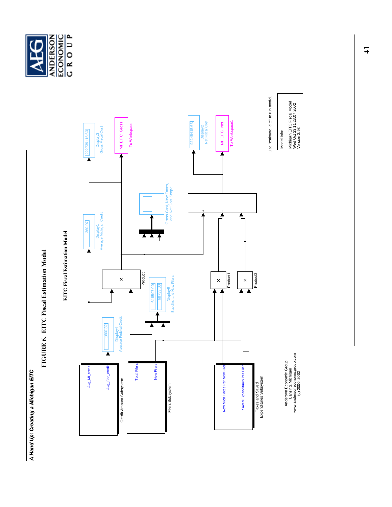## A Hand Up: Creating a Michigan EITC *A Hand Up: Creating a Michigan EITC*

# FIGURE 6. EITC Fiscal Estimation Model **FIGURE 6. EITC Fiscal Estimation Model**





Anderson Economic Group<br>Lansing, Michigan<br>www.andersoneconomicgroup.com<br>(c) 2000, 2002 www.andersoneconomicgroup.com Anderson Economic Group

Lansing, Michigan

(c) 2000, 2002

Use "estimate\_eitc" to run model. Use "estimate\_eitc" to run model.